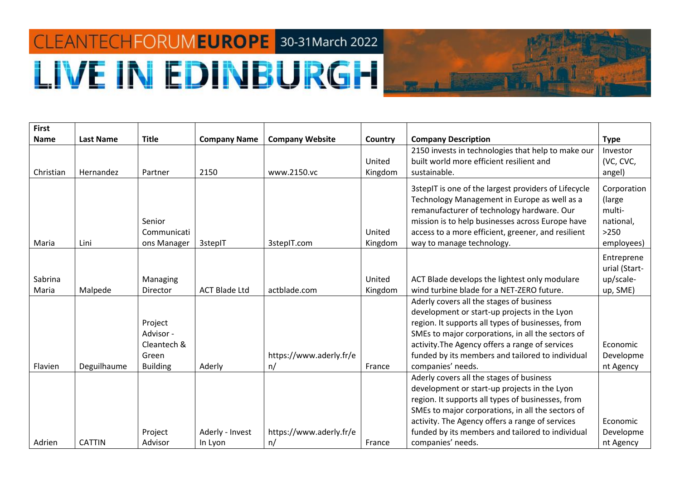## CLEANTECHFORUMEUROPE 30-31 March 2022 **LIVE IN EDINBURGH**



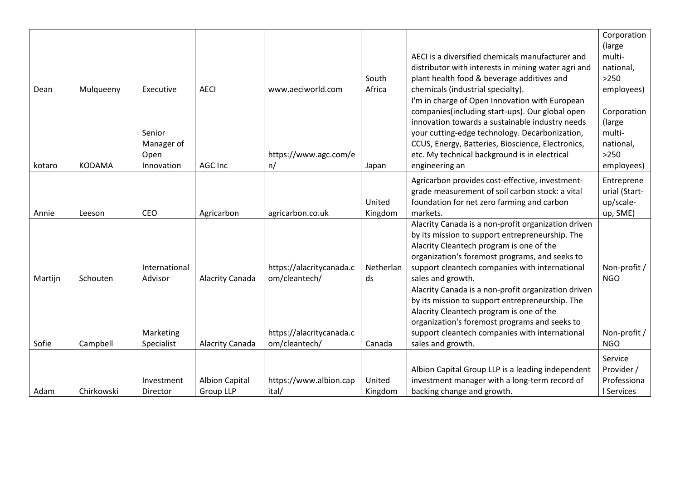|         |               |               |                       |                          |           |                                                     | Corporation   |
|---------|---------------|---------------|-----------------------|--------------------------|-----------|-----------------------------------------------------|---------------|
|         |               |               |                       |                          |           |                                                     | (large        |
|         |               |               |                       |                          |           | AECI is a diversified chemicals manufacturer and    | multi-        |
|         |               |               |                       |                          |           | distributor with interests in mining water agri and | national,     |
|         |               |               |                       |                          | South     | plant health food & beverage additives and          | $>250$        |
| Dean    | Mulqueeny     | Executive     | <b>AECI</b>           | www.aeciworld.com        | Africa    | chemicals (industrial specialty).                   | employees)    |
|         |               |               |                       |                          |           | I'm in charge of Open Innovation with European      |               |
|         |               |               |                       |                          |           | companies(including start-ups). Our global open     | Corporation   |
|         |               |               |                       |                          |           | innovation towards a sustainable industry needs     | (large)       |
|         |               | Senior        |                       |                          |           | your cutting-edge technology. Decarbonization,      | multi-        |
|         |               | Manager of    |                       |                          |           | CCUS, Energy, Batteries, Bioscience, Electronics,   | national,     |
|         |               | Open          |                       | https://www.agc.com/e    |           | etc. My technical background is in electrical       | $>250$        |
| kotaro  | <b>KODAMA</b> | Innovation    | AGC Inc               | n/                       | Japan     | engineering an                                      | employees)    |
|         |               |               |                       |                          |           | Agricarbon provides cost-effective, investment-     | Entreprene    |
|         |               |               |                       |                          |           | grade measurement of soil carbon stock: a vital     | urial (Start- |
|         |               |               |                       |                          | United    | foundation for net zero farming and carbon          | up/scale-     |
| Annie   | Leeson        | CEO           | Agricarbon            | agricarbon.co.uk         | Kingdom   | markets.                                            | up, SME)      |
|         |               |               |                       |                          |           | Alacrity Canada is a non-profit organization driven |               |
|         |               |               |                       |                          |           | by its mission to support entrepreneurship. The     |               |
|         |               |               |                       |                          |           | Alacrity Cleantech program is one of the            |               |
|         |               |               |                       |                          |           | organization's foremost programs, and seeks to      |               |
|         |               | International |                       | https://alacritycanada.c | Netherlan | support cleantech companies with international      | Non-profit /  |
| Martijn | Schouten      | Advisor       | Alacrity Canada       | om/cleantech/            | ds        | sales and growth.                                   | <b>NGO</b>    |
|         |               |               |                       |                          |           | Alacrity Canada is a non-profit organization driven |               |
|         |               |               |                       |                          |           | by its mission to support entrepreneurship. The     |               |
|         |               |               |                       |                          |           | Alacrity Cleantech program is one of the            |               |
|         |               |               |                       |                          |           | organization's foremost programs and seeks to       |               |
|         |               | Marketing     |                       | https://alacritycanada.c |           | support cleantech companies with international      | Non-profit /  |
| Sofie   | Campbell      | Specialist    | Alacrity Canada       | om/cleantech/            | Canada    | sales and growth.                                   | <b>NGO</b>    |
|         |               |               |                       |                          |           |                                                     | Service       |
|         |               |               |                       |                          |           | Albion Capital Group LLP is a leading independent   | Provider /    |
|         |               | Investment    | <b>Albion Capital</b> | https://www.albion.cap   | United    | investment manager with a long-term record of       | Professiona   |
| Adam    | Chirkowski    | Director      | <b>Group LLP</b>      | ital/                    | Kingdom   | backing change and growth.                          | I Services    |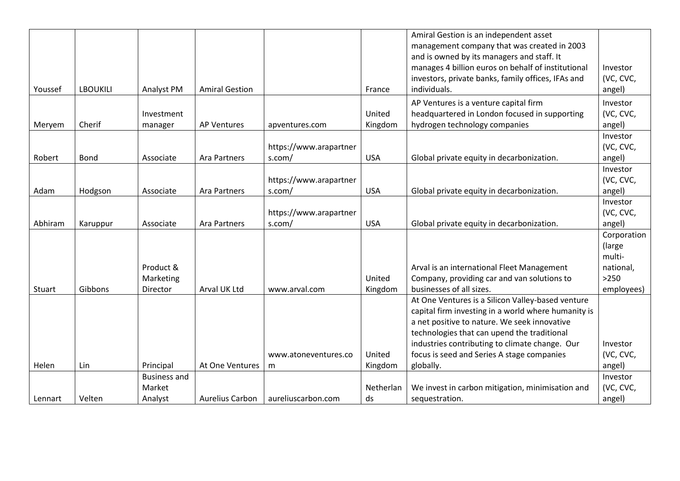|         |                 |                     |                       |                        |            | Amiral Gestion is an independent asset              |             |
|---------|-----------------|---------------------|-----------------------|------------------------|------------|-----------------------------------------------------|-------------|
|         |                 |                     |                       |                        |            | management company that was created in 2003         |             |
|         |                 |                     |                       |                        |            | and is owned by its managers and staff. It          |             |
|         |                 |                     |                       |                        |            | manages 4 billion euros on behalf of institutional  | Investor    |
|         |                 |                     |                       |                        |            | investors, private banks, family offices, IFAs and  | (VC, CVC,   |
| Youssef | <b>LBOUKILI</b> | Analyst PM          | <b>Amiral Gestion</b> |                        | France     | individuals.                                        | angel)      |
|         |                 |                     |                       |                        |            | AP Ventures is a venture capital firm               | Investor    |
|         |                 | Investment          |                       |                        | United     | headquartered in London focused in supporting       | (VC, CVC,   |
| Meryem  | Cherif          | manager             | <b>AP Ventures</b>    | apventures.com         | Kingdom    | hydrogen technology companies                       | angel)      |
|         |                 |                     |                       |                        |            |                                                     | Investor    |
|         |                 |                     |                       | https://www.arapartner |            |                                                     | (VC, CVC,   |
| Robert  | <b>Bond</b>     | Associate           | <b>Ara Partners</b>   | s.com/                 | <b>USA</b> | Global private equity in decarbonization.           | angel)      |
|         |                 |                     |                       |                        |            |                                                     | Investor    |
|         |                 |                     |                       | https://www.arapartner |            |                                                     | (VC, CVC,   |
| Adam    | Hodgson         | Associate           | Ara Partners          | s.com/                 | <b>USA</b> | Global private equity in decarbonization.           | angel)      |
|         |                 |                     |                       |                        |            |                                                     | Investor    |
|         |                 |                     |                       | https://www.arapartner |            |                                                     | (VC, CVC,   |
| Abhiram | Karuppur        | Associate           | <b>Ara Partners</b>   | s.com/                 | <b>USA</b> | Global private equity in decarbonization.           | angel)      |
|         |                 |                     |                       |                        |            |                                                     | Corporation |
|         |                 |                     |                       |                        |            |                                                     | (large      |
|         |                 |                     |                       |                        |            |                                                     | multi-      |
|         |                 | Product &           |                       |                        |            | Arval is an international Fleet Management          | national,   |
|         |                 | Marketing           |                       |                        | United     | Company, providing car and van solutions to         | $>250$      |
| Stuart  | Gibbons         | Director            | Arval UK Ltd          | www.arval.com          | Kingdom    | businesses of all sizes.                            | employees)  |
|         |                 |                     |                       |                        |            | At One Ventures is a Silicon Valley-based venture   |             |
|         |                 |                     |                       |                        |            | capital firm investing in a world where humanity is |             |
|         |                 |                     |                       |                        |            | a net positive to nature. We seek innovative        |             |
|         |                 |                     |                       |                        |            | technologies that can upend the traditional         |             |
|         |                 |                     |                       |                        |            | industries contributing to climate change. Our      | Investor    |
|         |                 |                     |                       | www.atoneventures.co   | United     | focus is seed and Series A stage companies          | (VC, CVC,   |
| Helen   | Lin             | Principal           | At One Ventures       | m                      | Kingdom    | globally.                                           | angel)      |
|         |                 | <b>Business and</b> |                       |                        |            |                                                     | Investor    |
|         |                 | Market              |                       |                        | Netherlan  | We invest in carbon mitigation, minimisation and    | (VC, CVC,   |
| Lennart | Velten          | Analyst             | Aurelius Carbon       | aureliuscarbon.com     | ds         | sequestration.                                      | angel)      |
|         |                 |                     |                       |                        |            |                                                     |             |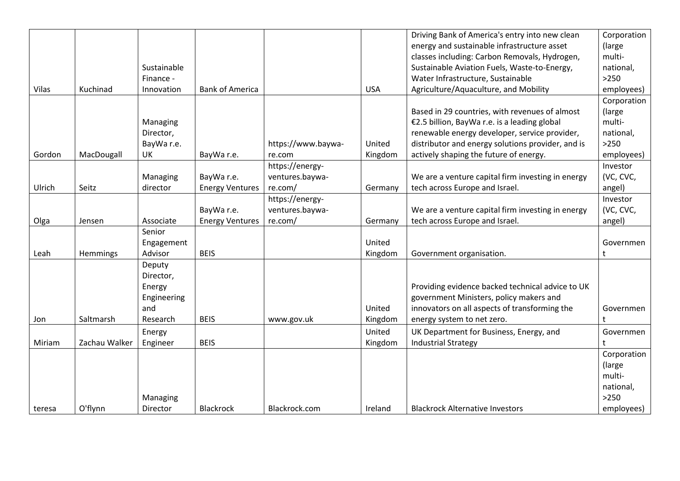|        |               |             |                        |                    |            | Driving Bank of America's entry into new clean    | Corporation |
|--------|---------------|-------------|------------------------|--------------------|------------|---------------------------------------------------|-------------|
|        |               |             |                        |                    |            | energy and sustainable infrastructure asset       | (large      |
|        |               |             |                        |                    |            | classes including: Carbon Removals, Hydrogen,     | multi-      |
|        |               | Sustainable |                        |                    |            | Sustainable Aviation Fuels, Waste-to-Energy,      | national,   |
|        |               | Finance -   |                        |                    |            | Water Infrastructure, Sustainable                 | $>250$      |
| Vilas  | Kuchinad      | Innovation  | <b>Bank of America</b> |                    | <b>USA</b> | Agriculture/Aquaculture, and Mobility             | employees)  |
|        |               |             |                        |                    |            |                                                   | Corporation |
|        |               |             |                        |                    |            | Based in 29 countries, with revenues of almost    | (large      |
|        |               | Managing    |                        |                    |            | €2.5 billion, BayWa r.e. is a leading global      | multi-      |
|        |               | Director,   |                        |                    |            | renewable energy developer, service provider,     | national,   |
|        |               | BayWa r.e.  |                        | https://www.baywa- | United     | distributor and energy solutions provider, and is | $>250$      |
| Gordon | MacDougall    | UK          | BayWa r.e.             | re.com             | Kingdom    | actively shaping the future of energy.            | employees)  |
|        |               |             |                        | https://energy-    |            |                                                   | Investor    |
|        |               | Managing    | BayWa r.e.             | ventures.baywa-    |            | We are a venture capital firm investing in energy | (VC, CVC,   |
| Ulrich | Seitz         | director    | <b>Energy Ventures</b> | re.com/            | Germany    | tech across Europe and Israel.                    | angel)      |
|        |               |             |                        | https://energy-    |            |                                                   | Investor    |
|        |               |             | BayWa r.e.             | ventures.baywa-    |            | We are a venture capital firm investing in energy | (VC, CVC,   |
| Olga   | Jensen        | Associate   | <b>Energy Ventures</b> | re.com/            | Germany    | tech across Europe and Israel.                    | angel)      |
|        |               | Senior      |                        |                    |            |                                                   |             |
|        |               | Engagement  |                        |                    | United     |                                                   | Governmen   |
| Leah   | Hemmings      | Advisor     | <b>BEIS</b>            |                    | Kingdom    | Government organisation.                          | t           |
|        |               | Deputy      |                        |                    |            |                                                   |             |
|        |               | Director,   |                        |                    |            |                                                   |             |
|        |               | Energy      |                        |                    |            | Providing evidence backed technical advice to UK  |             |
|        |               | Engineering |                        |                    |            | government Ministers, policy makers and           |             |
|        |               | and         |                        |                    | United     | innovators on all aspects of transforming the     | Governmen   |
| Jon    | Saltmarsh     | Research    | <b>BEIS</b>            | www.gov.uk         | Kingdom    | energy system to net zero.                        | t           |
|        |               | Energy      |                        |                    | United     | UK Department for Business, Energy, and           | Governmen   |
| Miriam | Zachau Walker | Engineer    | <b>BEIS</b>            |                    | Kingdom    | <b>Industrial Strategy</b>                        |             |
|        |               |             |                        |                    |            |                                                   | Corporation |
|        |               |             |                        |                    |            |                                                   | (large      |
|        |               |             |                        |                    |            |                                                   | multi-      |
|        |               |             |                        |                    |            |                                                   | national,   |
|        |               | Managing    |                        |                    |            |                                                   | $>250$      |
| teresa | O'flynn       | Director    | <b>Blackrock</b>       | Blackrock.com      | Ireland    | <b>Blackrock Alternative Investors</b>            | employees)  |
|        |               |             |                        |                    |            |                                                   |             |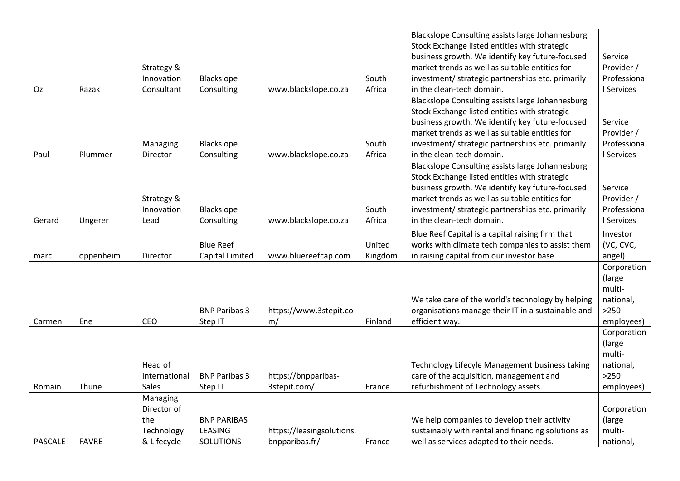| Blackslope Consulting assists large Johannesburg                                                                                          |             |
|-------------------------------------------------------------------------------------------------------------------------------------------|-------------|
|                                                                                                                                           |             |
| Stock Exchange listed entities with strategic                                                                                             |             |
| business growth. We identify key future-focused                                                                                           | Service     |
| market trends as well as suitable entities for<br>Strategy &                                                                              | Provider /  |
| Innovation<br>Blackslope<br>South<br>investment/ strategic partnerships etc. primarily                                                    | Professiona |
| Consulting<br>www.blackslope.co.za<br>Africa<br>Oz<br>Razak<br>Consultant<br>in the clean-tech domain.                                    | I Services  |
| Blackslope Consulting assists large Johannesburg                                                                                          |             |
| Stock Exchange listed entities with strategic                                                                                             |             |
| business growth. We identify key future-focused                                                                                           | Service     |
| market trends as well as suitable entities for                                                                                            | Provider /  |
| South<br>investment/ strategic partnerships etc. primarily<br>Blackslope<br>Managing                                                      | Professiona |
| Consulting<br>Africa<br>in the clean-tech domain.<br>Paul<br>Plummer<br>www.blackslope.co.za<br>Director                                  | I Services  |
| Blackslope Consulting assists large Johannesburg                                                                                          |             |
| Stock Exchange listed entities with strategic                                                                                             |             |
| business growth. We identify key future-focused                                                                                           | Service     |
| market trends as well as suitable entities for<br>Strategy &                                                                              | Provider /  |
| Blackslope<br>investment/ strategic partnerships etc. primarily<br>Innovation<br>South                                                    | Professiona |
| Africa<br>in the clean-tech domain.<br>www.blackslope.co.za<br>Lead<br>Consulting<br>Gerard<br>Ungerer                                    | I Services  |
| Blue Reef Capital is a capital raising firm that                                                                                          | Investor    |
| works with climate tech companies to assist them<br>United<br><b>Blue Reef</b>                                                            | (VC, CVC,   |
| www.bluereefcap.com<br>in raising capital from our investor base.<br>Capital Limited<br>oppenheim<br>Director<br>Kingdom<br>marc          | angel)      |
|                                                                                                                                           | Corporation |
|                                                                                                                                           | (large      |
|                                                                                                                                           | multi-      |
| We take care of the world's technology by helping                                                                                         | national,   |
| <b>BNP Paribas 3</b><br>https://www.3stepit.co<br>organisations manage their IT in a sustainable and                                      | $>250$      |
| efficient way.<br>Ene<br>CEO<br>m/<br>Finland<br>Carmen<br>Step IT                                                                        | employees)  |
|                                                                                                                                           | Corporation |
|                                                                                                                                           | (large      |
|                                                                                                                                           | multi-      |
| Head of<br>Technology Lifecyle Management business taking                                                                                 | national,   |
| https://bnpparibas-<br>care of the acquisition, management and<br><b>BNP Paribas 3</b><br>International                                   | $>250$      |
| Sales<br>3stepit.com/<br>refurbishment of Technology assets.<br>Romain<br>Thune<br>Step IT<br>France                                      | employees)  |
| Managing                                                                                                                                  |             |
| Director of                                                                                                                               | Corporation |
| We help companies to develop their activity<br><b>BNP PARIBAS</b><br>the                                                                  | (large      |
| sustainably with rental and financing solutions as<br>LEASING<br>https://leasingsolutions.<br>Technology                                  | multi-      |
| <b>PASCALE</b><br><b>SOLUTIONS</b><br>bnpparibas.fr/<br><b>FAVRE</b><br>& Lifecycle<br>France<br>well as services adapted to their needs. | national,   |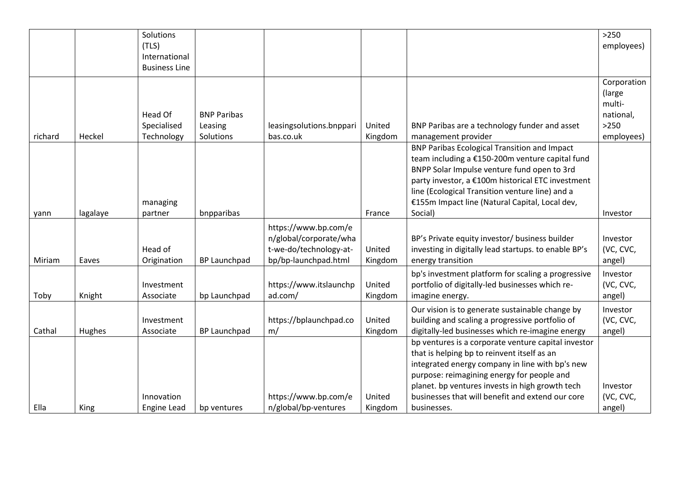|        | Solutions<br>(TLS)<br>International<br><b>Business Line</b> |                                            |                                                                                                  |                      |                                                                                                                                                                                                                                                                                                                            | $>250$<br>employees)                                                 |
|--------|-------------------------------------------------------------|--------------------------------------------|--------------------------------------------------------------------------------------------------|----------------------|----------------------------------------------------------------------------------------------------------------------------------------------------------------------------------------------------------------------------------------------------------------------------------------------------------------------------|----------------------------------------------------------------------|
| Heckel | Head Of<br>Specialised<br>Technology                        | <b>BNP Paribas</b><br>Leasing<br>Solutions | bas.co.uk                                                                                        | United<br>Kingdom    | BNP Paribas are a technology funder and asset<br>management provider                                                                                                                                                                                                                                                       | Corporation<br>(large<br>multi-<br>national,<br>$>250$<br>employees) |
|        | managing<br>partner                                         | bnpparibas                                 |                                                                                                  | France               | <b>BNP Paribas Ecological Transition and Impact</b><br>team including a €150-200m venture capital fund<br>BNPP Solar Impulse venture fund open to 3rd<br>party investor, a €100m historical ETC investment<br>line (Ecological Transition venture line) and a<br>€155m Impact line (Natural Capital, Local dev,<br>Social) | Investor                                                             |
| Eaves  | Head of<br>Origination                                      | <b>BP Launchpad</b>                        | https://www.bp.com/e<br>n/global/corporate/wha<br>t-we-do/technology-at-<br>bp/bp-launchpad.html | United<br>Kingdom    | BP's Private equity investor/ business builder<br>investing in digitally lead startups. to enable BP's<br>energy transition                                                                                                                                                                                                | Investor<br>(VC, CVC,<br>angel)                                      |
| Knight | Investment<br>Associate                                     | bp Launchpad                               | https://www.itslaunchp<br>ad.com/                                                                | United<br>Kingdom    | bp's investment platform for scaling a progressive<br>portfolio of digitally-led businesses which re-<br>imagine energy.                                                                                                                                                                                                   | Investor<br>(VC, CVC,<br>angel)                                      |
|        | Investment<br>Associate                                     |                                            | https://bplaunchpad.co<br>m/                                                                     | United               | Our vision is to generate sustainable change by<br>building and scaling a progressive portfolio of                                                                                                                                                                                                                         | Investor<br>(VC, CVC,<br>angel)                                      |
|        | Innovation                                                  |                                            | https://www.bp.com/e                                                                             | United               | bp ventures is a corporate venture capital investor<br>that is helping bp to reinvent itself as an<br>integrated energy company in line with bp's new<br>purpose: reimagining energy for people and<br>planet. bp ventures invests in high growth tech<br>businesses that will benefit and extend our core                 | Investor<br>(VC, CVC,<br>angel)                                      |
|        | lagalaye<br>Hughes<br>King                                  | Engine Lead                                | <b>BP Launchpad</b><br>bp ventures                                                               | n/global/bp-ventures | leasingsolutions.bnppari<br>Kingdom<br>Kingdom                                                                                                                                                                                                                                                                             | digitally-led businesses which re-imagine energy<br>businesses.      |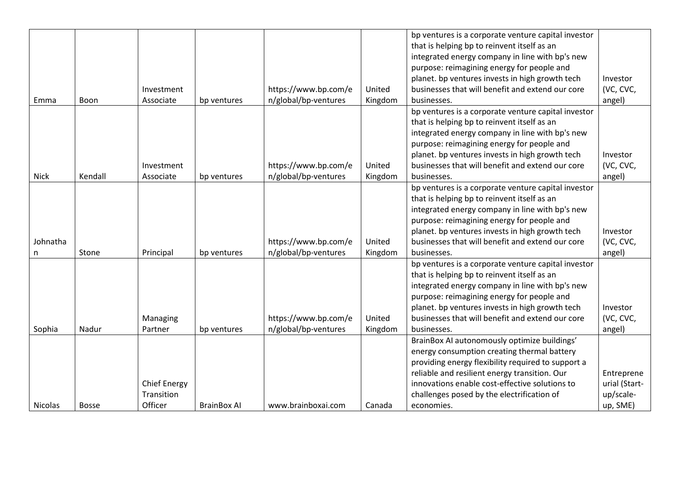|                |              |                     |                    |                      |         | bp ventures is a corporate venture capital investor |               |
|----------------|--------------|---------------------|--------------------|----------------------|---------|-----------------------------------------------------|---------------|
|                |              |                     |                    |                      |         | that is helping bp to reinvent itself as an         |               |
|                |              |                     |                    |                      |         | integrated energy company in line with bp's new     |               |
|                |              |                     |                    |                      |         | purpose: reimagining energy for people and          |               |
|                |              |                     |                    |                      |         | planet. bp ventures invests in high growth tech     | Investor      |
|                |              | Investment          |                    | https://www.bp.com/e | United  | businesses that will benefit and extend our core    | (VC, CVC,     |
| Emma           | Boon         | Associate           | bp ventures        | n/global/bp-ventures | Kingdom | businesses.                                         | angel)        |
|                |              |                     |                    |                      |         | bp ventures is a corporate venture capital investor |               |
|                |              |                     |                    |                      |         | that is helping bp to reinvent itself as an         |               |
|                |              |                     |                    |                      |         | integrated energy company in line with bp's new     |               |
|                |              |                     |                    |                      |         | purpose: reimagining energy for people and          |               |
|                |              |                     |                    |                      |         | planet. bp ventures invests in high growth tech     | Investor      |
|                |              | Investment          |                    | https://www.bp.com/e | United  | businesses that will benefit and extend our core    | (VC, CVC,     |
| <b>Nick</b>    | Kendall      | Associate           | bp ventures        | n/global/bp-ventures | Kingdom | businesses.                                         | angel)        |
|                |              |                     |                    |                      |         | bp ventures is a corporate venture capital investor |               |
|                |              |                     |                    |                      |         | that is helping bp to reinvent itself as an         |               |
|                |              |                     |                    |                      |         | integrated energy company in line with bp's new     |               |
|                |              |                     |                    |                      |         | purpose: reimagining energy for people and          |               |
|                |              |                     |                    |                      |         | planet. bp ventures invests in high growth tech     | Investor      |
| Johnatha       |              |                     |                    | https://www.bp.com/e | United  | businesses that will benefit and extend our core    | (VC, CVC,     |
| n              | Stone        | Principal           | bp ventures        | n/global/bp-ventures | Kingdom | businesses.                                         | angel)        |
|                |              |                     |                    |                      |         | bp ventures is a corporate venture capital investor |               |
|                |              |                     |                    |                      |         | that is helping bp to reinvent itself as an         |               |
|                |              |                     |                    |                      |         | integrated energy company in line with bp's new     |               |
|                |              |                     |                    |                      |         | purpose: reimagining energy for people and          |               |
|                |              |                     |                    |                      |         | planet. bp ventures invests in high growth tech     | Investor      |
|                |              | Managing            |                    | https://www.bp.com/e | United  | businesses that will benefit and extend our core    | (VC, CVC,     |
| Sophia         | Nadur        | Partner             | bp ventures        | n/global/bp-ventures | Kingdom | businesses.                                         | angel)        |
|                |              |                     |                    |                      |         | BrainBox AI autonomously optimize buildings'        |               |
|                |              |                     |                    |                      |         | energy consumption creating thermal battery         |               |
|                |              |                     |                    |                      |         | providing energy flexibility required to support a  |               |
|                |              |                     |                    |                      |         | reliable and resilient energy transition. Our       | Entreprene    |
|                |              | <b>Chief Energy</b> |                    |                      |         | innovations enable cost-effective solutions to      | urial (Start- |
|                |              | Transition          |                    |                      |         | challenges posed by the electrification of          | up/scale-     |
| <b>Nicolas</b> | <b>Bosse</b> | Officer             | <b>BrainBox Al</b> | www.brainboxai.com   | Canada  | economies.                                          | up, SME)      |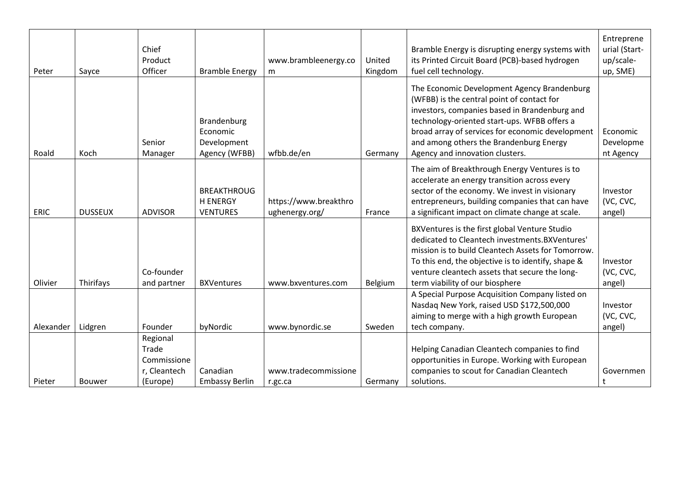| Peter       | Sayce          | Chief<br>Product<br>Officer                                  | <b>Bramble Energy</b>                                    | www.brambleenergy.co<br>m               | United<br>Kingdom | Bramble Energy is disrupting energy systems with<br>its Printed Circuit Board (PCB)-based hydrogen<br>fuel cell technology.                                                                                                                                                                                                  | Entreprene<br>urial (Start-<br>up/scale-<br>up, SME) |
|-------------|----------------|--------------------------------------------------------------|----------------------------------------------------------|-----------------------------------------|-------------------|------------------------------------------------------------------------------------------------------------------------------------------------------------------------------------------------------------------------------------------------------------------------------------------------------------------------------|------------------------------------------------------|
| Roald       | Koch           | Senior<br>Manager                                            | Brandenburg<br>Economic<br>Development<br>Agency (WFBB)  | wfbb.de/en                              | Germany           | The Economic Development Agency Brandenburg<br>(WFBB) is the central point of contact for<br>investors, companies based in Brandenburg and<br>technology-oriented start-ups. WFBB offers a<br>broad array of services for economic development<br>and among others the Brandenburg Energy<br>Agency and innovation clusters. | Economic<br>Developme<br>nt Agency                   |
| <b>ERIC</b> | <b>DUSSEUX</b> | <b>ADVISOR</b>                                               | <b>BREAKTHROUG</b><br><b>H ENERGY</b><br><b>VENTURES</b> | https://www.breakthro<br>ughenergy.org/ | France            | The aim of Breakthrough Energy Ventures is to<br>accelerate an energy transition across every<br>sector of the economy. We invest in visionary<br>entrepreneurs, building companies that can have<br>a significant impact on climate change at scale.                                                                        | Investor<br>(VC, CVC,<br>angel)                      |
| Olivier     | Thirifays      | Co-founder<br>and partner                                    | <b>BXVentures</b>                                        | www.bxventures.com                      | Belgium           | BXVentures is the first global Venture Studio<br>dedicated to Cleantech investments.BXVentures'<br>mission is to build Cleantech Assets for Tomorrow.<br>To this end, the objective is to identify, shape &<br>venture cleantech assets that secure the long-<br>term viability of our biosphere                             | Investor<br>(VC, CVC,<br>angel)                      |
| Alexander   | Lidgren        | Founder                                                      | byNordic                                                 | www.bynordic.se                         | Sweden            | A Special Purpose Acquisition Company listed on<br>Nasdaq New York, raised USD \$172,500,000<br>aiming to merge with a high growth European<br>tech company.                                                                                                                                                                 | Investor<br>(VC, CVC,<br>angel)                      |
| Pieter      | <b>Bouwer</b>  | Regional<br>Trade<br>Commissione<br>r, Cleantech<br>(Europe) | Canadian<br><b>Embassy Berlin</b>                        | www.tradecommissione<br>r.gc.ca         | Germany           | Helping Canadian Cleantech companies to find<br>opportunities in Europe. Working with European<br>companies to scout for Canadian Cleantech<br>solutions.                                                                                                                                                                    | Governmen<br>t                                       |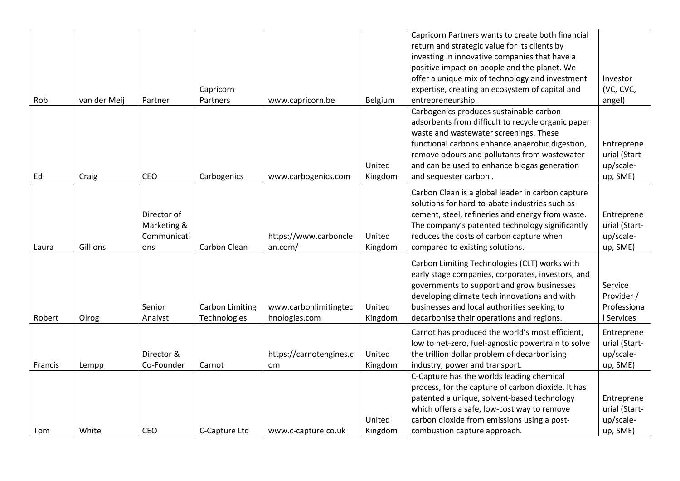|         |              |             |                        |                         |         | Capricorn Partners wants to create both financial  |               |
|---------|--------------|-------------|------------------------|-------------------------|---------|----------------------------------------------------|---------------|
|         |              |             |                        |                         |         | return and strategic value for its clients by      |               |
|         |              |             |                        |                         |         | investing in innovative companies that have a      |               |
|         |              |             |                        |                         |         | positive impact on people and the planet. We       |               |
|         |              |             |                        |                         |         | offer a unique mix of technology and investment    | Investor      |
|         |              |             | Capricorn              |                         |         | expertise, creating an ecosystem of capital and    | (VC, CVC,     |
| Rob     | van der Meij | Partner     | Partners               | www.capricorn.be        | Belgium | entrepreneurship.                                  | angel)        |
|         |              |             |                        |                         |         | Carbogenics produces sustainable carbon            |               |
|         |              |             |                        |                         |         | adsorbents from difficult to recycle organic paper |               |
|         |              |             |                        |                         |         | waste and wastewater screenings. These             |               |
|         |              |             |                        |                         |         | functional carbons enhance anaerobic digestion,    | Entreprene    |
|         |              |             |                        |                         |         | remove odours and pollutants from wastewater       | urial (Start- |
|         |              |             |                        |                         | United  | and can be used to enhance biogas generation       | up/scale-     |
| Ed      | Craig        | CEO         | Carbogenics            | www.carbogenics.com     | Kingdom | and sequester carbon.                              | up, SME)      |
|         |              |             |                        |                         |         |                                                    |               |
|         |              |             |                        |                         |         | Carbon Clean is a global leader in carbon capture  |               |
|         |              |             |                        |                         |         | solutions for hard-to-abate industries such as     |               |
|         |              | Director of |                        |                         |         | cement, steel, refineries and energy from waste.   | Entreprene    |
|         |              | Marketing & |                        |                         |         | The company's patented technology significantly    | urial (Start- |
|         |              | Communicati |                        | https://www.carboncle   | United  | reduces the costs of carbon capture when           | up/scale-     |
| Laura   | Gillions     | ons         | Carbon Clean           | an.com/                 | Kingdom | compared to existing solutions.                    | up, SME)      |
|         |              |             |                        |                         |         | Carbon Limiting Technologies (CLT) works with      |               |
|         |              |             |                        |                         |         | early stage companies, corporates, investors, and  |               |
|         |              |             |                        |                         |         | governments to support and grow businesses         | Service       |
|         |              |             |                        |                         |         | developing climate tech innovations and with       | Provider /    |
|         |              | Senior      | <b>Carbon Limiting</b> | www.carbonlimitingtec   | United  | businesses and local authorities seeking to        | Professiona   |
| Robert  | Olrog        | Analyst     | Technologies           | hnologies.com           | Kingdom | decarbonise their operations and regions.          | I Services    |
|         |              |             |                        |                         |         | Carnot has produced the world's most efficient,    | Entreprene    |
|         |              |             |                        |                         |         | low to net-zero, fuel-agnostic powertrain to solve | urial (Start- |
|         |              | Director &  |                        | https://carnotengines.c | United  | the trillion dollar problem of decarbonising       | up/scale-     |
| Francis | Lempp        | Co-Founder  | Carnot                 | om                      | Kingdom | industry, power and transport.                     | up, SME)      |
|         |              |             |                        |                         |         | C-Capture has the worlds leading chemical          |               |
|         |              |             |                        |                         |         | process, for the capture of carbon dioxide. It has |               |
|         |              |             |                        |                         |         | patented a unique, solvent-based technology        | Entreprene    |
|         |              |             |                        |                         |         | which offers a safe, low-cost way to remove        | urial (Start- |
|         |              |             |                        |                         | United  | carbon dioxide from emissions using a post-        | up/scale-     |
| Tom     | White        | CEO         | C-Capture Ltd          | www.c-capture.co.uk     | Kingdom | combustion capture approach.                       | up, SME)      |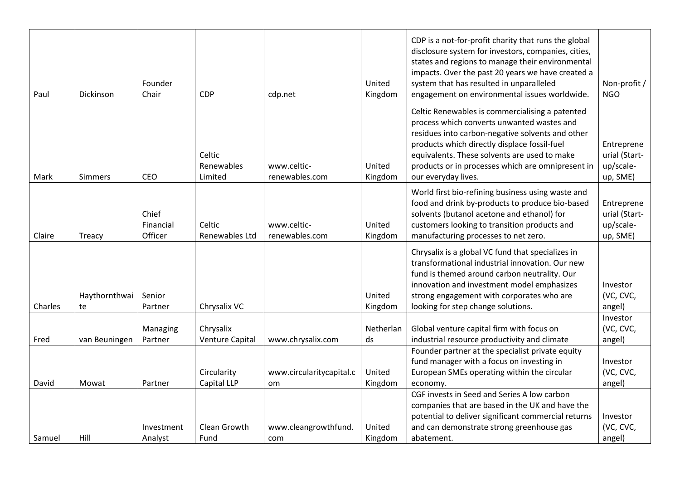| Paul    | Dickinson           | Founder<br>Chair              | CDP                                 | cdp.net                         | United<br>Kingdom | CDP is a not-for-profit charity that runs the global<br>disclosure system for investors, companies, cities,<br>states and regions to manage their environmental<br>impacts. Over the past 20 years we have created a<br>system that has resulted in unparalleled<br>engagement on environmental issues worldwide.             | Non-profit /<br><b>NGO</b>                           |
|---------|---------------------|-------------------------------|-------------------------------------|---------------------------------|-------------------|-------------------------------------------------------------------------------------------------------------------------------------------------------------------------------------------------------------------------------------------------------------------------------------------------------------------------------|------------------------------------------------------|
| Mark    | Simmers             | CEO                           | Celtic<br>Renewables<br>Limited     | www.celtic-<br>renewables.com   | United<br>Kingdom | Celtic Renewables is commercialising a patented<br>process which converts unwanted wastes and<br>residues into carbon-negative solvents and other<br>products which directly displace fossil-fuel<br>equivalents. These solvents are used to make<br>products or in processes which are omnipresent in<br>our everyday lives. | Entreprene<br>urial (Start-<br>up/scale-<br>up, SME) |
| Claire  | Treacy              | Chief<br>Financial<br>Officer | Celtic<br>Renewables Ltd            | www.celtic-<br>renewables.com   | United<br>Kingdom | World first bio-refining business using waste and<br>food and drink by-products to produce bio-based<br>solvents (butanol acetone and ethanol) for<br>customers looking to transition products and<br>manufacturing processes to net zero.                                                                                    | Entreprene<br>urial (Start-<br>up/scale-<br>up, SME) |
| Charles | Haythornthwai<br>te | Senior<br>Partner             | Chrysalix VC                        |                                 | United<br>Kingdom | Chrysalix is a global VC fund that specializes in<br>transformational industrial innovation. Our new<br>fund is themed around carbon neutrality. Our<br>innovation and investment model emphasizes<br>strong engagement with corporates who are<br>looking for step change solutions.                                         | Investor<br>(VC, CVC,<br>angel)                      |
| Fred    | van Beuningen       | Managing<br>Partner           | Chrysalix<br><b>Venture Capital</b> | www.chrysalix.com               | Netherlan<br>ds   | Global venture capital firm with focus on<br>industrial resource productivity and climate                                                                                                                                                                                                                                     | Investor<br>(VC, CVC,<br>angel)                      |
| David   | Mowat               | Partner                       | Circularity<br>Capital LLP          | www.circularitycapital.c<br>om. | United<br>Kingdom | Founder partner at the specialist private equity<br>fund manager with a focus on investing in<br>European SMEs operating within the circular<br>economy.                                                                                                                                                                      | Investor<br>(VC, CVC,<br>angel)                      |
| Samuel  | Hill                | Investment<br>Analyst         | Clean Growth<br>Fund                | www.cleangrowthfund.<br>com     | United<br>Kingdom | CGF invests in Seed and Series A low carbon<br>companies that are based in the UK and have the<br>potential to deliver significant commercial returns<br>and can demonstrate strong greenhouse gas<br>abatement.                                                                                                              | Investor<br>(VC, CVC,<br>angel)                      |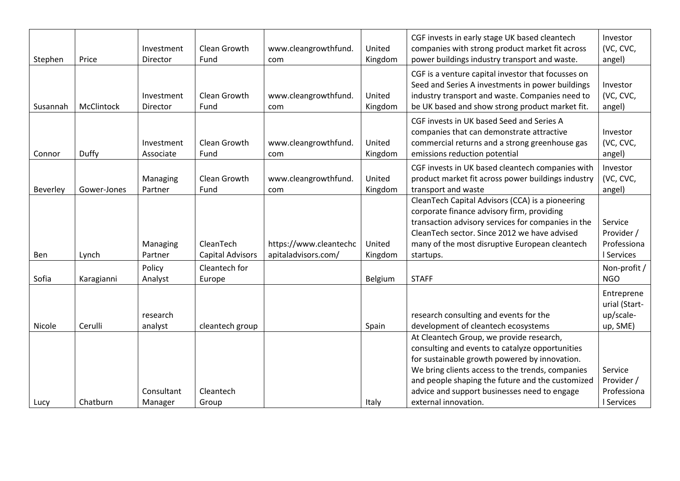| Stephen  | Price       | Investment<br>Director  | Clean Growth<br>Fund                 | www.cleangrowthfund.<br>com                   | United<br>Kingdom | CGF invests in early stage UK based cleantech<br>companies with strong product market fit across<br>power buildings industry transport and waste.                                                                                                                                                                            | Investor<br>(VC, CVC,<br>angel)                      |
|----------|-------------|-------------------------|--------------------------------------|-----------------------------------------------|-------------------|------------------------------------------------------------------------------------------------------------------------------------------------------------------------------------------------------------------------------------------------------------------------------------------------------------------------------|------------------------------------------------------|
| Susannah | McClintock  | Investment<br>Director  | Clean Growth<br>Fund                 | www.cleangrowthfund.<br>com                   | United<br>Kingdom | CGF is a venture capital investor that focusses on<br>Seed and Series A investments in power buildings<br>industry transport and waste. Companies need to<br>be UK based and show strong product market fit.                                                                                                                 | Investor<br>(VC, CVC,<br>angel)                      |
| Connor   | Duffy       | Investment<br>Associate | Clean Growth<br>Fund                 | www.cleangrowthfund.<br>com                   | United<br>Kingdom | CGF invests in UK based Seed and Series A<br>companies that can demonstrate attractive<br>commercial returns and a strong greenhouse gas<br>emissions reduction potential                                                                                                                                                    | Investor<br>(VC, CVC,<br>angel)                      |
| Beverley | Gower-Jones | Managing<br>Partner     | Clean Growth<br>Fund                 | www.cleangrowthfund.<br>com                   | United<br>Kingdom | CGF invests in UK based cleantech companies with<br>product market fit across power buildings industry<br>transport and waste                                                                                                                                                                                                | Investor<br>(VC, CVC,<br>angel)                      |
| Ben      | Lynch       | Managing<br>Partner     | CleanTech<br><b>Capital Advisors</b> | https://www.cleantechc<br>apitaladvisors.com/ | United<br>Kingdom | CleanTech Capital Advisors (CCA) is a pioneering<br>corporate finance advisory firm, providing<br>transaction advisory services for companies in the<br>CleanTech sector. Since 2012 we have advised<br>many of the most disruptive European cleantech<br>startups.                                                          | Service<br>Provider /<br>Professiona<br>I Services   |
| Sofia    | Karagianni  | Policy<br>Analyst       | Cleantech for<br>Europe              |                                               | Belgium           | <b>STAFF</b>                                                                                                                                                                                                                                                                                                                 | Non-profit /<br><b>NGO</b>                           |
| Nicole   | Cerulli     | research<br>analyst     | cleantech group                      |                                               | Spain             | research consulting and events for the<br>development of cleantech ecosystems                                                                                                                                                                                                                                                | Entreprene<br>urial (Start-<br>up/scale-<br>up, SME) |
| Lucy     | Chatburn    | Consultant<br>Manager   | Cleantech<br>Group                   |                                               | Italy             | At Cleantech Group, we provide research,<br>consulting and events to catalyze opportunities<br>for sustainable growth powered by innovation.<br>We bring clients access to the trends, companies<br>and people shaping the future and the customized<br>advice and support businesses need to engage<br>external innovation. | Service<br>Provider /<br>Professiona<br>I Services   |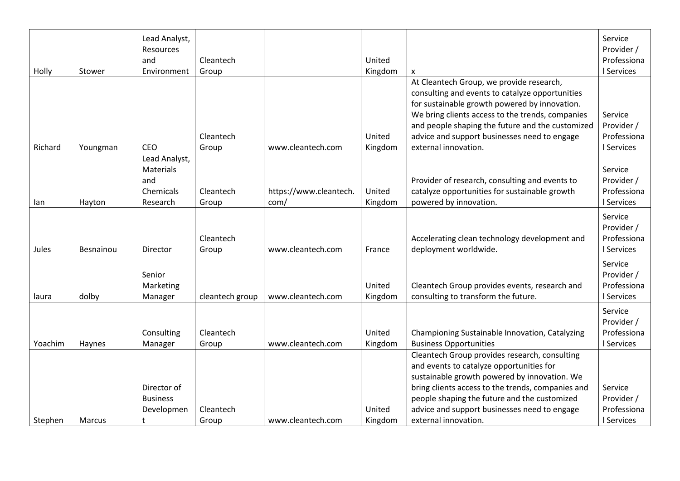| Holly   | Stower    | Lead Analyst,<br>Resources<br>and<br>Environment           | Cleantech<br>Group |                                | United<br>Kingdom | $\boldsymbol{\mathsf{x}}$                                                                                                                                                                                                                                                                                                    | Service<br>Provider /<br>Professiona<br>I Services |
|---------|-----------|------------------------------------------------------------|--------------------|--------------------------------|-------------------|------------------------------------------------------------------------------------------------------------------------------------------------------------------------------------------------------------------------------------------------------------------------------------------------------------------------------|----------------------------------------------------|
| Richard | Youngman  | <b>CEO</b>                                                 | Cleantech<br>Group | www.cleantech.com              | United<br>Kingdom | At Cleantech Group, we provide research,<br>consulting and events to catalyze opportunities<br>for sustainable growth powered by innovation.<br>We bring clients access to the trends, companies<br>and people shaping the future and the customized<br>advice and support businesses need to engage<br>external innovation. | Service<br>Provider /<br>Professiona<br>I Services |
| lan     | Hayton    | Lead Analyst,<br>Materials<br>and<br>Chemicals<br>Research | Cleantech<br>Group | https://www.cleantech.<br>com/ | United<br>Kingdom | Provider of research, consulting and events to<br>catalyze opportunities for sustainable growth<br>powered by innovation.                                                                                                                                                                                                    | Service<br>Provider /<br>Professiona<br>I Services |
| Jules   | Besnainou | Director                                                   | Cleantech<br>Group | www.cleantech.com              | France            | Accelerating clean technology development and<br>deployment worldwide.                                                                                                                                                                                                                                                       | Service<br>Provider /<br>Professiona<br>I Services |
| laura   | dolby     | Senior<br>Marketing<br>Manager                             | cleantech group    | www.cleantech.com              | United<br>Kingdom | Cleantech Group provides events, research and<br>consulting to transform the future.                                                                                                                                                                                                                                         | Service<br>Provider /<br>Professiona<br>I Services |
| Yoachim | Haynes    | Consulting<br>Manager                                      | Cleantech<br>Group | www.cleantech.com              | United<br>Kingdom | Championing Sustainable Innovation, Catalyzing<br><b>Business Opportunities</b>                                                                                                                                                                                                                                              | Service<br>Provider /<br>Professiona<br>I Services |
| Stephen | Marcus    | Director of<br><b>Business</b><br>Developmen<br>t          | Cleantech<br>Group | www.cleantech.com              | United<br>Kingdom | Cleantech Group provides research, consulting<br>and events to catalyze opportunities for<br>sustainable growth powered by innovation. We<br>bring clients access to the trends, companies and<br>people shaping the future and the customized<br>advice and support businesses need to engage<br>external innovation.       | Service<br>Provider /<br>Professiona<br>I Services |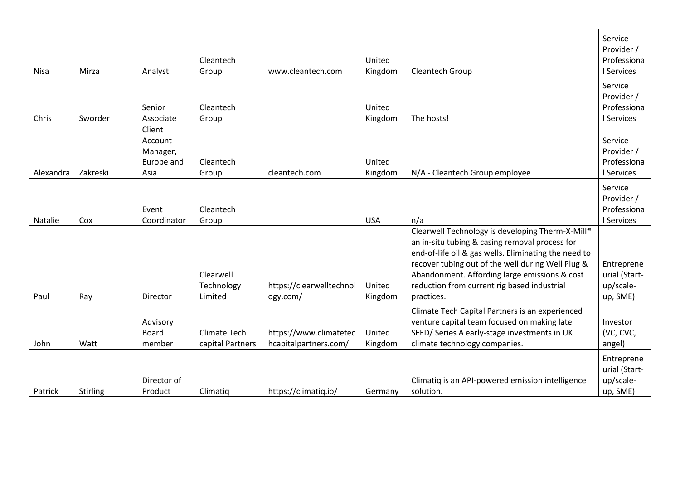| <b>Nisa</b> | Mirza           | Analyst                                             | Cleantech<br>Group                      | www.cleantech.com                               | United<br>Kingdom | Cleantech Group                                                                                                                                                                                                                                                                                                               | Service<br>Provider /<br>Professiona<br>I Services   |
|-------------|-----------------|-----------------------------------------------------|-----------------------------------------|-------------------------------------------------|-------------------|-------------------------------------------------------------------------------------------------------------------------------------------------------------------------------------------------------------------------------------------------------------------------------------------------------------------------------|------------------------------------------------------|
| Chris       | Sworder         | Senior<br>Associate                                 | Cleantech<br>Group                      |                                                 | United<br>Kingdom | The hosts!                                                                                                                                                                                                                                                                                                                    | Service<br>Provider /<br>Professiona<br>I Services   |
| Alexandra   | Zakreski        | Client<br>Account<br>Manager,<br>Europe and<br>Asia | Cleantech<br>Group                      | cleantech.com                                   | United<br>Kingdom | N/A - Cleantech Group employee                                                                                                                                                                                                                                                                                                | Service<br>Provider /<br>Professiona<br>I Services   |
| Natalie     | Cox             | Event<br>Coordinator                                | Cleantech<br>Group                      |                                                 | <b>USA</b>        | n/a                                                                                                                                                                                                                                                                                                                           | Service<br>Provider /<br>Professiona<br>I Services   |
| Paul        | Ray             | Director                                            | Clearwell<br>Technology<br>Limited      | https://clearwelltechnol<br>ogy.com/            | United<br>Kingdom | Clearwell Technology is developing Therm-X-Mill®<br>an in-situ tubing & casing removal process for<br>end-of-life oil & gas wells. Eliminating the need to<br>recover tubing out of the well during Well Plug &<br>Abandonment. Affording large emissions & cost<br>reduction from current rig based industrial<br>practices. | Entreprene<br>urial (Start-<br>up/scale-<br>up, SME) |
| John        | Watt            | Advisory<br>Board<br>member                         | <b>Climate Tech</b><br>capital Partners | https://www.climatetec<br>hcapitalpartners.com/ | United<br>Kingdom | Climate Tech Capital Partners is an experienced<br>venture capital team focused on making late<br>SEED/ Series A early-stage investments in UK<br>climate technology companies.                                                                                                                                               | Investor<br>(VC, CVC,<br>angel)                      |
| Patrick     | <b>Stirling</b> | Director of<br>Product                              | Climatiq                                | https://climatiq.io/                            | Germany           | Climatiq is an API-powered emission intelligence<br>solution.                                                                                                                                                                                                                                                                 | Entreprene<br>urial (Start-<br>up/scale-<br>up, SME) |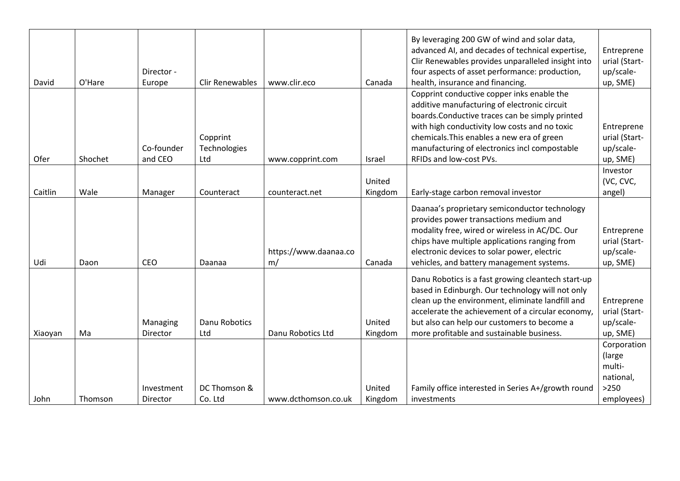| David   | O'Hare  | Director -<br>Europe   | <b>Clir Renewables</b>          | www.clir.eco                | Canada            | By leveraging 200 GW of wind and solar data,<br>advanced AI, and decades of technical expertise,<br>Clir Renewables provides unparalleled insight into<br>four aspects of asset performance: production,<br>health, insurance and financing.                                                                             | Entreprene<br>urial (Start-<br>up/scale-<br>up, SME)                  |
|---------|---------|------------------------|---------------------------------|-----------------------------|-------------------|--------------------------------------------------------------------------------------------------------------------------------------------------------------------------------------------------------------------------------------------------------------------------------------------------------------------------|-----------------------------------------------------------------------|
| Ofer    | Shochet | Co-founder<br>and CEO  | Copprint<br>Technologies<br>Ltd | www.copprint.com            | Israel            | Copprint conductive copper inks enable the<br>additive manufacturing of electronic circuit<br>boards. Conductive traces can be simply printed<br>with high conductivity low costs and no toxic<br>chemicals. This enables a new era of green<br>manufacturing of electronics incl compostable<br>RFIDs and low-cost PVs. | Entreprene<br>urial (Start-<br>up/scale-<br>up, SME)                  |
| Caitlin | Wale    | Manager                | Counteract                      | counteract.net              | United<br>Kingdom | Early-stage carbon removal investor                                                                                                                                                                                                                                                                                      | Investor<br>(VC, CVC,<br>angel)                                       |
| Udi     | Daon    | CEO                    | Daanaa                          | https://www.daanaa.co<br>m/ | Canada            | Daanaa's proprietary semiconductor technology<br>provides power transactions medium and<br>modality free, wired or wireless in AC/DC. Our<br>chips have multiple applications ranging from<br>electronic devices to solar power, electric<br>vehicles, and battery management systems.                                   | Entreprene<br>urial (Start-<br>up/scale-<br>up, SME)                  |
| Xiaoyan | Ma      | Managing<br>Director   | Danu Robotics<br>Ltd            | Danu Robotics Ltd           | United<br>Kingdom | Danu Robotics is a fast growing cleantech start-up<br>based in Edinburgh. Our technology will not only<br>clean up the environment, eliminate landfill and<br>accelerate the achievement of a circular economy,<br>but also can help our customers to become a<br>more profitable and sustainable business.              | Entreprene<br>urial (Start-<br>up/scale-<br>up, SME)                  |
| John    | Thomson | Investment<br>Director | DC Thomson &<br>Co. Ltd         | www.dcthomson.co.uk         | United<br>Kingdom | Family office interested in Series A+/growth round<br>investments                                                                                                                                                                                                                                                        | Corporation<br>(large)<br>multi-<br>national,<br>$>250$<br>employees) |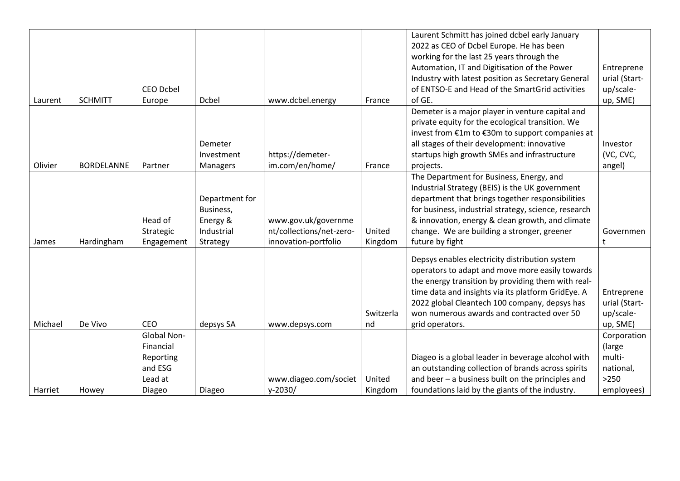|         |                   |                  |                |                          |           | Laurent Schmitt has joined dcbel early January       |               |
|---------|-------------------|------------------|----------------|--------------------------|-----------|------------------------------------------------------|---------------|
|         |                   |                  |                |                          |           | 2022 as CEO of Dcbel Europe. He has been             |               |
|         |                   |                  |                |                          |           | working for the last 25 years through the            |               |
|         |                   |                  |                |                          |           | Automation, IT and Digitisation of the Power         | Entreprene    |
|         |                   |                  |                |                          |           | Industry with latest position as Secretary General   | urial (Start- |
|         |                   | <b>CEO Dcbel</b> |                |                          |           | of ENTSO-E and Head of the SmartGrid activities      | up/scale-     |
| Laurent | <b>SCHMITT</b>    | Europe           | <b>Dcbel</b>   | www.dcbel.energy         | France    | of GE.                                               | up, SME)      |
|         |                   |                  |                |                          |           | Demeter is a major player in venture capital and     |               |
|         |                   |                  |                |                          |           | private equity for the ecological transition. We     |               |
|         |                   |                  |                |                          |           | invest from €1m to €30m to support companies at      |               |
|         |                   |                  | Demeter        |                          |           | all stages of their development: innovative          | Investor      |
|         |                   |                  | Investment     | https://demeter-         |           | startups high growth SMEs and infrastructure         | (VC, CVC,     |
| Olivier | <b>BORDELANNE</b> | Partner          | Managers       | im.com/en/home/          | France    | projects.                                            | angel)        |
|         |                   |                  |                |                          |           | The Department for Business, Energy, and             |               |
|         |                   |                  |                |                          |           | Industrial Strategy (BEIS) is the UK government      |               |
|         |                   |                  | Department for |                          |           | department that brings together responsibilities     |               |
|         |                   |                  | Business,      |                          |           | for business, industrial strategy, science, research |               |
|         |                   | Head of          | Energy &       | www.gov.uk/governme      |           | & innovation, energy & clean growth, and climate     |               |
|         |                   | Strategic        | Industrial     | nt/collections/net-zero- | United    | change. We are building a stronger, greener          | Governmen     |
| James   | Hardingham        | Engagement       | Strategy       | innovation-portfolio     | Kingdom   | future by fight                                      | t             |
|         |                   |                  |                |                          |           |                                                      |               |
|         |                   |                  |                |                          |           | Depsys enables electricity distribution system       |               |
|         |                   |                  |                |                          |           | operators to adapt and move more easily towards      |               |
|         |                   |                  |                |                          |           | the energy transition by providing them with real-   |               |
|         |                   |                  |                |                          |           | time data and insights via its platform GridEye. A   | Entreprene    |
|         |                   |                  |                |                          |           | 2022 global Cleantech 100 company, depsys has        | urial (Start- |
|         |                   |                  |                |                          | Switzerla | won numerous awards and contracted over 50           | up/scale-     |
| Michael | De Vivo           | <b>CEO</b>       | depsys SA      | www.depsys.com           | nd        | grid operators.                                      | up, SME)      |
|         |                   | Global Non-      |                |                          |           |                                                      | Corporation   |
|         |                   | Financial        |                |                          |           |                                                      | (large        |
|         |                   | Reporting        |                |                          |           | Diageo is a global leader in beverage alcohol with   | multi-        |
|         |                   | and ESG          |                |                          |           | an outstanding collection of brands across spirits   | national,     |
|         |                   | Lead at          |                | www.diageo.com/societ    | United    | and beer - a business built on the principles and    | $>250$        |
| Harriet | Howey             | Diageo           | Diageo         | $y - 2030/$              | Kingdom   | foundations laid by the giants of the industry.      | employees)    |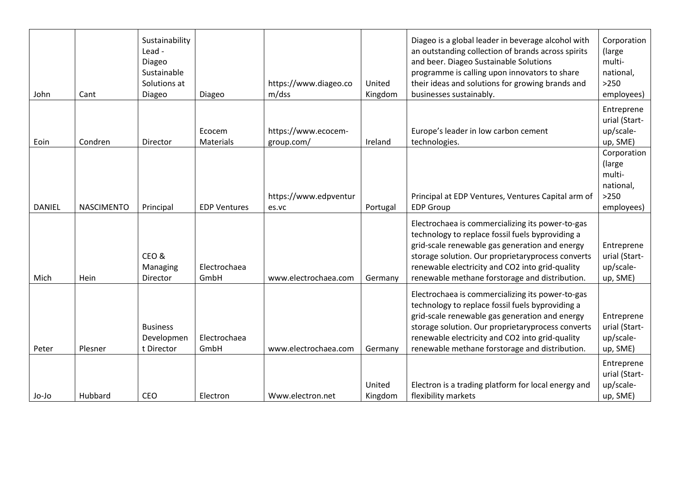| John          | Cant              | Sustainability<br>Lead -<br>Diageo<br>Sustainable<br>Solutions at<br>Diageo | Diageo               | https://www.diageo.co<br>m/dss    | United<br>Kingdom | Diageo is a global leader in beverage alcohol with<br>an outstanding collection of brands across spirits<br>and beer. Diageo Sustainable Solutions<br>programme is calling upon innovators to share<br>their ideas and solutions for growing brands and<br>businesses sustainably.                               | Corporation<br>(large<br>multi-<br>national,<br>$>250$<br>employees) |
|---------------|-------------------|-----------------------------------------------------------------------------|----------------------|-----------------------------------|-------------------|------------------------------------------------------------------------------------------------------------------------------------------------------------------------------------------------------------------------------------------------------------------------------------------------------------------|----------------------------------------------------------------------|
| Eoin          | Condren           | Director                                                                    | Ecocem<br>Materials  | https://www.ecocem-<br>group.com/ | Ireland           | Europe's leader in low carbon cement<br>technologies.                                                                                                                                                                                                                                                            | Entreprene<br>urial (Start-<br>up/scale-<br>up, SME)                 |
| <b>DANIEL</b> | <b>NASCIMENTO</b> | Principal                                                                   | <b>EDP Ventures</b>  | https://www.edpventur<br>es.vc    | Portugal          | Principal at EDP Ventures, Ventures Capital arm of<br><b>EDP Group</b>                                                                                                                                                                                                                                           | Corporation<br>(large<br>multi-<br>national,<br>$>250$<br>employees) |
| Mich          | Hein              | CEO&<br>Managing<br>Director                                                | Electrochaea<br>GmbH | www.electrochaea.com              | Germany           | Electrochaea is commercializing its power-to-gas<br>technology to replace fossil fuels byproviding a<br>grid-scale renewable gas generation and energy<br>storage solution. Our proprietaryprocess converts<br>renewable electricity and CO2 into grid-quality<br>renewable methane forstorage and distribution. | Entreprene<br>urial (Start-<br>up/scale-<br>up, SME)                 |
| Peter         | Plesner           | <b>Business</b><br>Developmen<br>t Director                                 | Electrochaea<br>GmbH | www.electrochaea.com              | Germany           | Electrochaea is commercializing its power-to-gas<br>technology to replace fossil fuels byproviding a<br>grid-scale renewable gas generation and energy<br>storage solution. Our proprietaryprocess converts<br>renewable electricity and CO2 into grid-quality<br>renewable methane forstorage and distribution. | Entreprene<br>urial (Start-<br>up/scale-<br>up, SME)                 |
| Jo-Jo         | Hubbard           | <b>CEO</b>                                                                  | Electron             | Www.electron.net                  | United<br>Kingdom | Electron is a trading platform for local energy and<br>flexibility markets                                                                                                                                                                                                                                       | Entreprene<br>urial (Start-<br>up/scale-<br>up, SME)                 |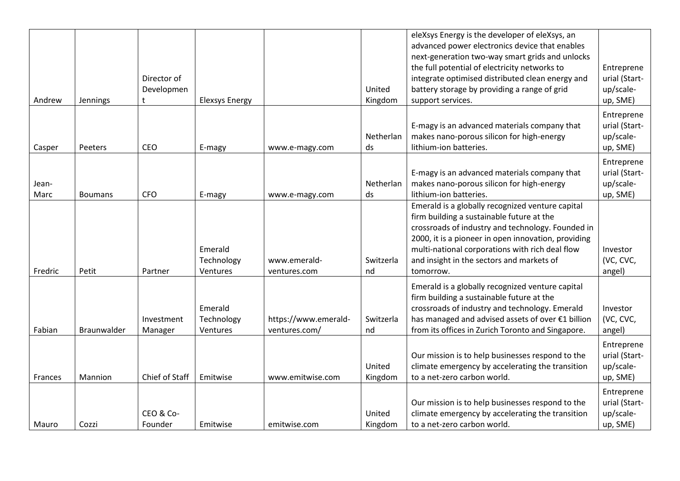|         |                |                |                        |                      |           | eleXsys Energy is the developer of eleXsys, an                                                |               |
|---------|----------------|----------------|------------------------|----------------------|-----------|-----------------------------------------------------------------------------------------------|---------------|
|         |                |                |                        |                      |           | advanced power electronics device that enables                                                |               |
|         |                |                |                        |                      |           | next-generation two-way smart grids and unlocks                                               |               |
|         |                |                |                        |                      |           | the full potential of electricity networks to                                                 | Entreprene    |
|         |                | Director of    |                        |                      |           | integrate optimised distributed clean energy and                                              | urial (Start- |
|         |                | Developmen     |                        |                      | United    | battery storage by providing a range of grid                                                  | up/scale-     |
| Andrew  | Jennings       | t              | <b>Elexsys Energy</b>  |                      | Kingdom   | support services.                                                                             | up, SME)      |
|         |                |                |                        |                      |           |                                                                                               | Entreprene    |
|         |                |                |                        |                      |           | E-magy is an advanced materials company that                                                  | urial (Start- |
|         |                |                |                        |                      | Netherlan | makes nano-porous silicon for high-energy                                                     | up/scale-     |
| Casper  | Peeters        | <b>CEO</b>     | E-magy                 | www.e-magy.com       | ds        | lithium-ion batteries.                                                                        | up, SME)      |
|         |                |                |                        |                      |           |                                                                                               | Entreprene    |
|         |                |                |                        |                      |           | E-magy is an advanced materials company that                                                  | urial (Start- |
| Jean-   |                |                |                        |                      | Netherlan | makes nano-porous silicon for high-energy                                                     | up/scale-     |
| Marc    | <b>Boumans</b> | <b>CFO</b>     | E-magy                 | www.e-magy.com       | ds        | lithium-ion batteries.                                                                        | up, SME)      |
|         |                |                |                        |                      |           | Emerald is a globally recognized venture capital                                              |               |
|         |                |                |                        |                      |           | firm building a sustainable future at the                                                     |               |
|         |                |                |                        |                      |           | crossroads of industry and technology. Founded in                                             |               |
|         |                |                |                        |                      |           | 2000, it is a pioneer in open innovation, providing                                           |               |
|         |                |                | Emerald                |                      |           | multi-national corporations with rich deal flow                                               | Investor      |
|         |                |                | Technology             | www.emerald-         | Switzerla | and insight in the sectors and markets of                                                     | (VC, CVC,     |
| Fredric | Petit          | Partner        | Ventures               | ventures.com         | nd        | tomorrow.                                                                                     | angel)        |
|         |                |                |                        |                      |           |                                                                                               |               |
|         |                |                |                        |                      |           | Emerald is a globally recognized venture capital<br>firm building a sustainable future at the |               |
|         |                |                | Emerald                |                      |           | crossroads of industry and technology. Emerald                                                | Investor      |
|         |                |                |                        | https://www.emerald- | Switzerla | has managed and advised assets of over €1 billion                                             | (VC, CVC,     |
| Fabian  | Braunwalder    | Investment     | Technology<br>Ventures | ventures.com/        | nd        | from its offices in Zurich Toronto and Singapore.                                             |               |
|         |                | Manager        |                        |                      |           |                                                                                               | angel)        |
|         |                |                |                        |                      |           |                                                                                               | Entreprene    |
|         |                |                |                        |                      |           | Our mission is to help businesses respond to the                                              | urial (Start- |
|         |                |                |                        |                      | United    | climate emergency by accelerating the transition                                              | up/scale-     |
| Frances | Mannion        | Chief of Staff | Emitwise               | www.emitwise.com     | Kingdom   | to a net-zero carbon world.                                                                   | up, SME)      |
|         |                |                |                        |                      |           |                                                                                               | Entreprene    |
|         |                |                |                        |                      |           | Our mission is to help businesses respond to the                                              | urial (Start- |
|         |                | CEO & Co-      |                        |                      | United    | climate emergency by accelerating the transition                                              | up/scale-     |
| Mauro   | Cozzi          | Founder        | Emitwise               | emitwise.com         | Kingdom   | to a net-zero carbon world.                                                                   | up, SME)      |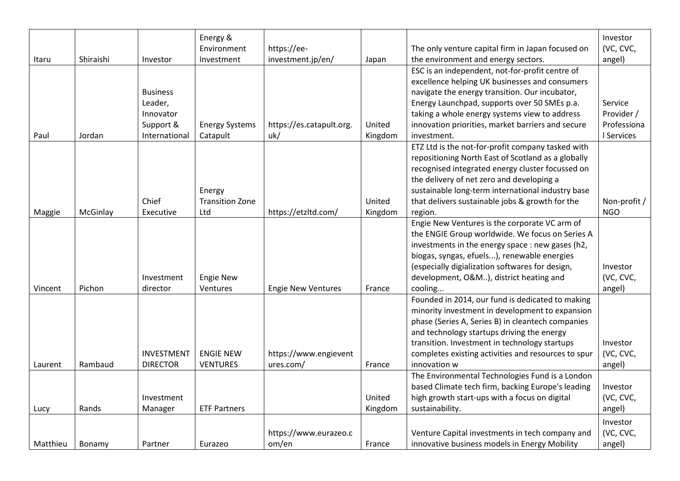|          |           |                   | Energy &<br>Environment | https://ee-               |         | The only venture capital firm in Japan focused on   | Investor<br>(VC, CVC, |
|----------|-----------|-------------------|-------------------------|---------------------------|---------|-----------------------------------------------------|-----------------------|
| Itaru    | Shiraishi | Investor          | Investment              | investment.jp/en/         | Japan   | the environment and energy sectors.                 | angel)                |
|          |           |                   |                         |                           |         | ESC is an independent, not-for-profit centre of     |                       |
|          |           |                   |                         |                           |         | excellence helping UK businesses and consumers      |                       |
|          |           | <b>Business</b>   |                         |                           |         | navigate the energy transition. Our incubator,      |                       |
|          |           | Leader,           |                         |                           |         | Energy Launchpad, supports over 50 SMEs p.a.        | Service               |
|          |           | Innovator         |                         |                           |         | taking a whole energy systems view to address       | Provider /            |
|          |           | Support &         | <b>Energy Systems</b>   | https://es.catapult.org.  | United  | innovation priorities, market barriers and secure   | Professiona           |
| Paul     | Jordan    | International     | Catapult                | uk/                       | Kingdom | investment.                                         | I Services            |
|          |           |                   |                         |                           |         | ETZ Ltd is the not-for-profit company tasked with   |                       |
|          |           |                   |                         |                           |         | repositioning North East of Scotland as a globally  |                       |
|          |           |                   |                         |                           |         | recognised integrated energy cluster focussed on    |                       |
|          |           |                   |                         |                           |         | the delivery of net zero and developing a           |                       |
|          |           |                   | Energy                  |                           |         | sustainable long-term international industry base   |                       |
|          |           | Chief             | <b>Transition Zone</b>  |                           | United  | that delivers sustainable jobs & growth for the     | Non-profit /          |
| Maggie   | McGinlay  | Executive         | Ltd                     | https://etzltd.com/       | Kingdom | region.                                             | <b>NGO</b>            |
|          |           |                   |                         |                           |         | Engie New Ventures is the corporate VC arm of       |                       |
|          |           |                   |                         |                           |         | the ENGIE Group worldwide. We focus on Series A     |                       |
|          |           |                   |                         |                           |         | investments in the energy space : new gases (h2,    |                       |
|          |           |                   |                         |                           |         | biogas, syngas, efuels), renewable energies         |                       |
|          |           |                   |                         |                           |         | (especially digialization softwares for design,     | Investor              |
|          |           | Investment        | <b>Engie New</b>        |                           |         | development, O&M), district heating and             | (VC, CVC,             |
| Vincent  | Pichon    | director          | Ventures                | <b>Engie New Ventures</b> | France  | cooling                                             | angel)                |
|          |           |                   |                         |                           |         | Founded in 2014, our fund is dedicated to making    |                       |
|          |           |                   |                         |                           |         | minority investment in development to expansion     |                       |
|          |           |                   |                         |                           |         | phase (Series A, Series B) in cleantech companies   |                       |
|          |           |                   |                         |                           |         | and technology startups driving the energy          |                       |
|          |           |                   |                         |                           |         | transition. Investment in technology startups       | Investor              |
|          |           | <b>INVESTMENT</b> | <b>ENGIE NEW</b>        | https://www.engievent     |         | completes existing activities and resources to spur | (VC, CVC,             |
| Laurent  | Rambaud   | <b>DIRECTOR</b>   | <b>VENTURES</b>         | ures.com/                 | France  | innovation w                                        | angel)                |
|          |           |                   |                         |                           |         | The Environmental Technologies Fund is a London     |                       |
|          |           |                   |                         |                           |         | based Climate tech firm, backing Europe's leading   | Investor              |
|          |           | Investment        |                         |                           | United  | high growth start-ups with a focus on digital       | (VC, CVC,             |
| Lucy     | Rands     | Manager           | <b>ETF Partners</b>     |                           | Kingdom | sustainability.                                     | angel)                |
|          |           |                   |                         |                           |         |                                                     | Investor              |
|          |           |                   |                         | https://www.eurazeo.c     |         | Venture Capital investments in tech company and     | (VC, CVC,             |
| Matthieu | Bonamy    | Partner           | Eurazeo                 | om/en                     | France  | innovative business models in Energy Mobility       | angel)                |
|          |           |                   |                         |                           |         |                                                     |                       |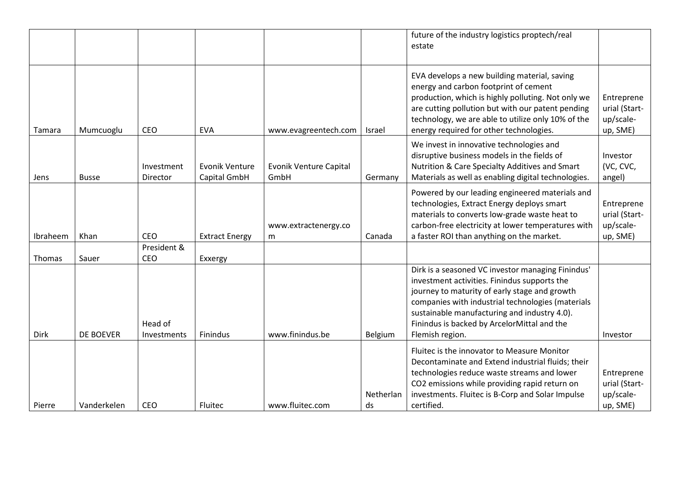|             |                  |                        |                                       |                                |                 | future of the industry logistics proptech/real<br>estate                                                                                                                                                                                                                                                                  |                                                      |
|-------------|------------------|------------------------|---------------------------------------|--------------------------------|-----------------|---------------------------------------------------------------------------------------------------------------------------------------------------------------------------------------------------------------------------------------------------------------------------------------------------------------------------|------------------------------------------------------|
| Tamara      | Mumcuoglu        | CEO                    | <b>EVA</b>                            | www.evagreentech.com           | Israel          | EVA develops a new building material, saving<br>energy and carbon footprint of cement<br>production, which is highly polluting. Not only we<br>are cutting pollution but with our patent pending<br>technology, we are able to utilize only 10% of the<br>energy required for other technologies.                         | Entreprene<br>urial (Start-<br>up/scale-<br>up, SME) |
| Jens        | <b>Busse</b>     | Investment<br>Director | <b>Evonik Venture</b><br>Capital GmbH | Evonik Venture Capital<br>GmbH | Germany         | We invest in innovative technologies and<br>disruptive business models in the fields of<br>Nutrition & Care Specialty Additives and Smart<br>Materials as well as enabling digital technologies.                                                                                                                          | Investor<br>(VC, CVC,<br>angel)                      |
| Ibraheem    | Khan             | CEO                    | <b>Extract Energy</b>                 | www.extractenergy.co<br>m      | Canada          | Powered by our leading engineered materials and<br>technologies, Extract Energy deploys smart<br>materials to converts low-grade waste heat to<br>carbon-free electricity at lower temperatures with<br>a faster ROI than anything on the market.                                                                         | Entreprene<br>urial (Start-<br>up/scale-<br>up, SME) |
| Thomas      | Sauer            | President &<br>CEO     | Exxergy                               |                                |                 |                                                                                                                                                                                                                                                                                                                           |                                                      |
| <b>Dirk</b> | <b>DE BOEVER</b> | Head of<br>Investments | Finindus                              | www.finindus.be                | Belgium         | Dirk is a seasoned VC investor managing Finindus'<br>investment activities. Finindus supports the<br>journey to maturity of early stage and growth<br>companies with industrial technologies (materials<br>sustainable manufacturing and industry 4.0).<br>Finindus is backed by ArcelorMittal and the<br>Flemish region. | Investor                                             |
| Pierre      | Vanderkelen      | CEO                    | Fluitec                               | www.fluitec.com                | Netherlan<br>ds | Fluitec is the innovator to Measure Monitor<br>Decontaminate and Extend industrial fluids; their<br>technologies reduce waste streams and lower<br>CO2 emissions while providing rapid return on<br>investments. Fluitec is B-Corp and Solar Impulse<br>certified.                                                        | Entreprene<br>urial (Start-<br>up/scale-<br>up, SME) |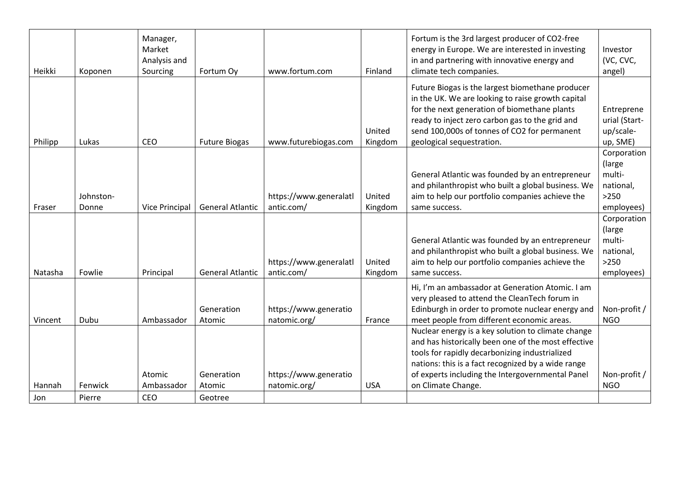| Heikki  | Koponen            | Manager,<br>Market<br>Analysis and<br>Sourcing | Fortum Oy               | www.fortum.com                        | Finland           | Fortum is the 3rd largest producer of CO2-free<br>energy in Europe. We are interested in investing<br>in and partnering with innovative energy and<br>climate tech companies.                                                                                                         | Investor<br>(VC, CVC,<br>angel)                                      |
|---------|--------------------|------------------------------------------------|-------------------------|---------------------------------------|-------------------|---------------------------------------------------------------------------------------------------------------------------------------------------------------------------------------------------------------------------------------------------------------------------------------|----------------------------------------------------------------------|
| Philipp | Lukas              | CEO                                            | <b>Future Biogas</b>    | www.futurebiogas.com                  | United<br>Kingdom | Future Biogas is the largest biomethane producer<br>in the UK. We are looking to raise growth capital<br>for the next generation of biomethane plants<br>ready to inject zero carbon gas to the grid and<br>send 100,000s of tonnes of CO2 for permanent<br>geological sequestration. | Entreprene<br>urial (Start-<br>up/scale-<br>up, SME)                 |
| Fraser  | Johnston-<br>Donne | <b>Vice Principal</b>                          | <b>General Atlantic</b> | https://www.generalatl<br>antic.com/  | United<br>Kingdom | General Atlantic was founded by an entrepreneur<br>and philanthropist who built a global business. We<br>aim to help our portfolio companies achieve the<br>same success.                                                                                                             | Corporation<br>(large<br>multi-<br>national,<br>$>250$<br>employees) |
| Natasha | Fowlie             | Principal                                      | <b>General Atlantic</b> | https://www.generalatl<br>antic.com/  | United<br>Kingdom | General Atlantic was founded by an entrepreneur<br>and philanthropist who built a global business. We<br>aim to help our portfolio companies achieve the<br>same success.                                                                                                             | Corporation<br>(large<br>multi-<br>national,<br>$>250$<br>employees) |
| Vincent | Dubu               | Ambassador                                     | Generation<br>Atomic    | https://www.generatio<br>natomic.org/ | France            | Hi, I'm an ambassador at Generation Atomic. I am<br>very pleased to attend the CleanTech forum in<br>Edinburgh in order to promote nuclear energy and<br>meet people from different economic areas.                                                                                   | Non-profit /<br><b>NGO</b>                                           |
|         |                    | Atomic                                         | Generation              | https://www.generatio                 |                   | Nuclear energy is a key solution to climate change<br>and has historically been one of the most effective<br>tools for rapidly decarbonizing industrialized<br>nations: this is a fact recognized by a wide range<br>of experts including the Intergovernmental Panel                 | Non-profit /                                                         |
| Hannah  | Fenwick            | Ambassador                                     | Atomic                  | natomic.org/                          | <b>USA</b>        | on Climate Change.                                                                                                                                                                                                                                                                    | <b>NGO</b>                                                           |
| Jon     | Pierre             | CEO                                            | Geotree                 |                                       |                   |                                                                                                                                                                                                                                                                                       |                                                                      |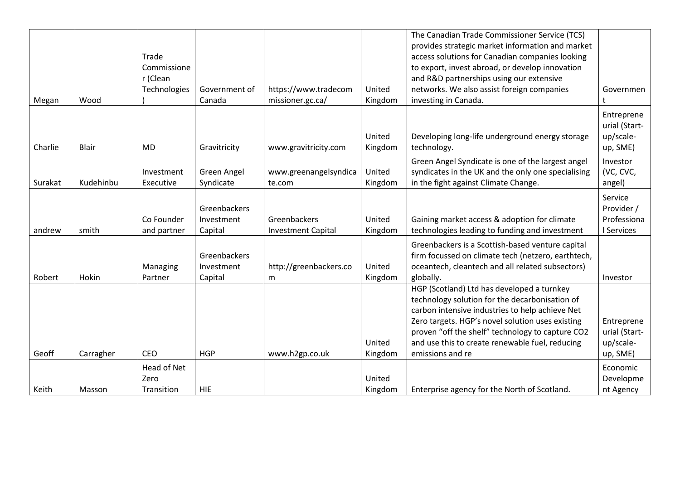|         |              |              |               |                           |         | The Canadian Trade Commissioner Service (TCS)<br>provides strategic market information and market |               |
|---------|--------------|--------------|---------------|---------------------------|---------|---------------------------------------------------------------------------------------------------|---------------|
|         |              | Trade        |               |                           |         | access solutions for Canadian companies looking                                                   |               |
|         |              | Commissione  |               |                           |         | to export, invest abroad, or develop innovation                                                   |               |
|         |              | r (Clean     |               |                           |         | and R&D partnerships using our extensive                                                          |               |
|         |              | Technologies | Government of | https://www.tradecom      | United  | networks. We also assist foreign companies                                                        | Governmen     |
| Megan   | Wood         |              | Canada        | missioner.gc.ca/          | Kingdom | investing in Canada.                                                                              | t             |
|         |              |              |               |                           |         |                                                                                                   | Entreprene    |
|         |              |              |               |                           |         |                                                                                                   | urial (Start- |
|         |              |              |               |                           | United  | Developing long-life underground energy storage                                                   | up/scale-     |
| Charlie | <b>Blair</b> | <b>MD</b>    | Gravitricity  | www.gravitricity.com      | Kingdom | technology.                                                                                       | up, SME)      |
|         |              |              |               |                           |         | Green Angel Syndicate is one of the largest angel                                                 | Investor      |
|         |              | Investment   | Green Angel   | www.greenangelsyndica     | United  | syndicates in the UK and the only one specialising                                                | (VC, CVC,     |
| Surakat | Kudehinbu    | Executive    | Syndicate     | te.com                    | Kingdom | in the fight against Climate Change.                                                              | angel)        |
|         |              |              |               |                           |         |                                                                                                   | Service       |
|         |              |              | Greenbackers  |                           |         |                                                                                                   | Provider /    |
|         |              | Co Founder   | Investment    | <b>Greenbackers</b>       | United  | Gaining market access & adoption for climate                                                      | Professiona   |
| andrew  | smith        | and partner  | Capital       | <b>Investment Capital</b> | Kingdom | technologies leading to funding and investment                                                    | I Services    |
|         |              |              |               |                           |         | Greenbackers is a Scottish-based venture capital                                                  |               |
|         |              |              | Greenbackers  |                           |         | firm focussed on climate tech (netzero, earthtech,                                                |               |
|         |              | Managing     | Investment    | http://greenbackers.co    | United  | oceantech, cleantech and all related subsectors)                                                  |               |
| Robert  | Hokin        | Partner      | Capital       | m                         | Kingdom | globally.                                                                                         | Investor      |
|         |              |              |               |                           |         | HGP (Scotland) Ltd has developed a turnkey                                                        |               |
|         |              |              |               |                           |         | technology solution for the decarbonisation of                                                    |               |
|         |              |              |               |                           |         | carbon intensive industries to help achieve Net                                                   |               |
|         |              |              |               |                           |         | Zero targets. HGP's novel solution uses existing                                                  | Entreprene    |
|         |              |              |               |                           |         | proven "off the shelf" technology to capture CO2                                                  | urial (Start- |
|         |              |              |               |                           | United  | and use this to create renewable fuel, reducing                                                   | up/scale-     |
| Geoff   | Carragher    | <b>CEO</b>   | <b>HGP</b>    | www.h2gp.co.uk            | Kingdom | emissions and re                                                                                  | up, SME)      |
|         |              | Head of Net  |               |                           |         |                                                                                                   | Economic      |
|         |              | Zero         |               |                           | United  |                                                                                                   | Developme     |
| Keith   | Masson       | Transition   | <b>HIE</b>    |                           | Kingdom | Enterprise agency for the North of Scotland.                                                      | nt Agency     |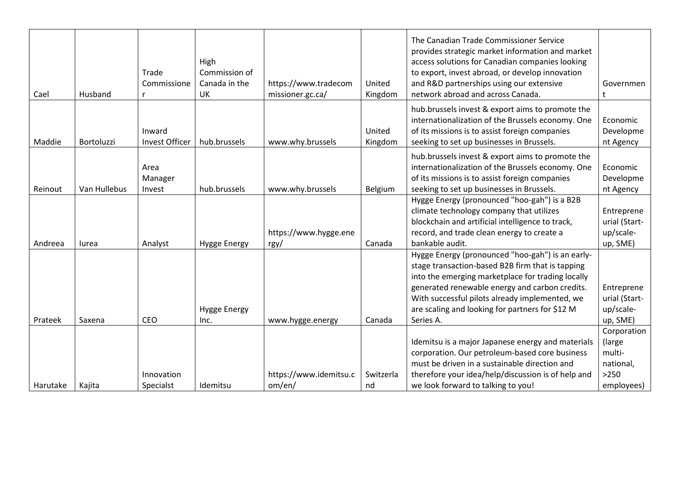| Cael     | Husband      | Trade<br>Commissione      | High<br>Commission of<br>Canada in the<br><b>UK</b> | https://www.tradecom<br>missioner.gc.ca/ | United<br>Kingdom | The Canadian Trade Commissioner Service<br>provides strategic market information and market<br>access solutions for Canadian companies looking<br>to export, invest abroad, or develop innovation<br>and R&D partnerships using our extensive<br>network abroad and across Canada.                                            | Governmen<br>t                                                       |
|----------|--------------|---------------------------|-----------------------------------------------------|------------------------------------------|-------------------|-------------------------------------------------------------------------------------------------------------------------------------------------------------------------------------------------------------------------------------------------------------------------------------------------------------------------------|----------------------------------------------------------------------|
| Maddie   | Bortoluzzi   | Inward<br>Invest Officer  | hub.brussels                                        | www.why.brussels                         | United<br>Kingdom | hub.brussels invest & export aims to promote the<br>internationalization of the Brussels economy. One<br>of its missions is to assist foreign companies<br>seeking to set up businesses in Brussels.                                                                                                                          | Economic<br>Developme<br>nt Agency                                   |
| Reinout  | Van Hullebus | Area<br>Manager<br>Invest | hub.brussels                                        | www.why.brussels                         | Belgium           | hub.brussels invest & export aims to promote the<br>internationalization of the Brussels economy. One<br>of its missions is to assist foreign companies<br>seeking to set up businesses in Brussels.                                                                                                                          | Economic<br>Developme<br>nt Agency                                   |
| Andreea  | lurea        | Analyst                   | <b>Hygge Energy</b>                                 | https://www.hygge.ene<br>$\frac{rgy}{ }$ | Canada            | Hygge Energy (pronounced "hoo-gah") is a B2B<br>climate technology company that utilizes<br>blockchain and artificial intelligence to track,<br>record, and trade clean energy to create a<br>bankable audit.                                                                                                                 | Entreprene<br>urial (Start-<br>up/scale-<br>up, SME)                 |
| Prateek  | Saxena       | CEO                       | <b>Hygge Energy</b><br>Inc.                         | www.hygge.energy                         | Canada            | Hygge Energy (pronounced "hoo-gah") is an early-<br>stage transaction-based B2B firm that is tapping<br>into the emerging marketplace for trading locally<br>generated renewable energy and carbon credits.<br>With successful pilots already implemented, we<br>are scaling and looking for partners for \$12 M<br>Series A. | Entreprene<br>urial (Start-<br>up/scale-<br>up, SME)                 |
| Harutake | Kajita       | Innovation<br>Specialst   | Idemitsu                                            | https://www.idemitsu.c<br>om/en/         | Switzerla<br>nd   | Idemitsu is a major Japanese energy and materials<br>corporation. Our petroleum-based core business<br>must be driven in a sustainable direction and<br>therefore your idea/help/discussion is of help and<br>we look forward to talking to you!                                                                              | Corporation<br>(large<br>multi-<br>national,<br>$>250$<br>employees) |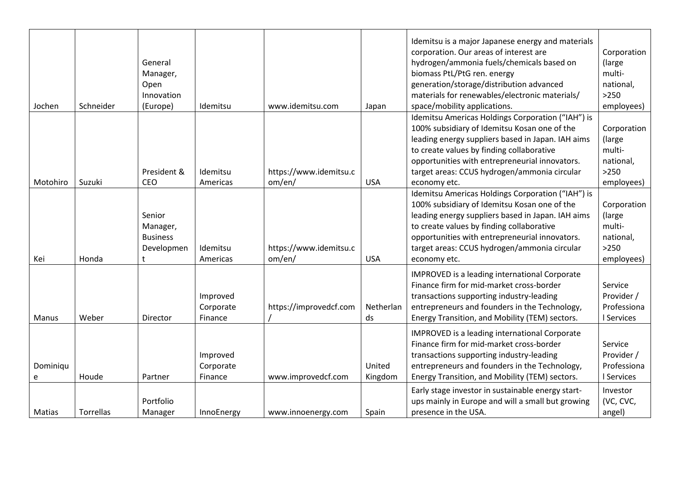| Jochen        | Schneider | General<br>Manager,<br>Open<br>Innovation<br>(Europe)    | Idemitsu                         | www.idemitsu.com                 | Japan             | Idemitsu is a major Japanese energy and materials<br>corporation. Our areas of interest are<br>hydrogen/ammonia fuels/chemicals based on<br>biomass PtL/PtG ren. energy<br>generation/storage/distribution advanced<br>materials for renewables/electronic materials/<br>space/mobility applications.                 | Corporation<br>(large<br>multi-<br>national,<br>$>250$<br>employees) |
|---------------|-----------|----------------------------------------------------------|----------------------------------|----------------------------------|-------------------|-----------------------------------------------------------------------------------------------------------------------------------------------------------------------------------------------------------------------------------------------------------------------------------------------------------------------|----------------------------------------------------------------------|
| Motohiro      | Suzuki    | President &<br>CEO                                       | Idemitsu<br>Americas             | https://www.idemitsu.c<br>om/en/ | <b>USA</b>        | Idemitsu Americas Holdings Corporation ("IAH") is<br>100% subsidiary of Idemitsu Kosan one of the<br>leading energy suppliers based in Japan. IAH aims<br>to create values by finding collaborative<br>opportunities with entrepreneurial innovators.<br>target areas: CCUS hydrogen/ammonia circular<br>economy etc. | Corporation<br>(large<br>multi-<br>national,<br>$>250$<br>employees) |
| Kei           | Honda     | Senior<br>Manager,<br><b>Business</b><br>Developmen<br>t | Idemitsu<br>Americas             | https://www.idemitsu.c<br>om/en/ | <b>USA</b>        | Idemitsu Americas Holdings Corporation ("IAH") is<br>100% subsidiary of Idemitsu Kosan one of the<br>leading energy suppliers based in Japan. IAH aims<br>to create values by finding collaborative<br>opportunities with entrepreneurial innovators.<br>target areas: CCUS hydrogen/ammonia circular<br>economy etc. | Corporation<br>(large)<br>multi-<br>national,<br>>250<br>employees)  |
| Manus         | Weber     | Director                                                 | Improved<br>Corporate<br>Finance | https://improvedcf.com           | Netherlan<br>ds   | IMPROVED is a leading international Corporate<br>Finance firm for mid-market cross-border<br>transactions supporting industry-leading<br>entrepreneurs and founders in the Technology,<br>Energy Transition, and Mobility (TEM) sectors.                                                                              | Service<br>Provider /<br>Professiona<br>I Services                   |
| Dominiqu<br>e | Houde     | Partner                                                  | Improved<br>Corporate<br>Finance | www.improvedcf.com               | United<br>Kingdom | IMPROVED is a leading international Corporate<br>Finance firm for mid-market cross-border<br>transactions supporting industry-leading<br>entrepreneurs and founders in the Technology,<br>Energy Transition, and Mobility (TEM) sectors.                                                                              | Service<br>Provider /<br>Professiona<br>I Services                   |
| Matias        | Torrellas | Portfolio<br>Manager                                     | InnoEnergy                       | www.innoenergy.com               | Spain             | Early stage investor in sustainable energy start-<br>ups mainly in Europe and will a small but growing<br>presence in the USA.                                                                                                                                                                                        | Investor<br>(VC, CVC,<br>angel)                                      |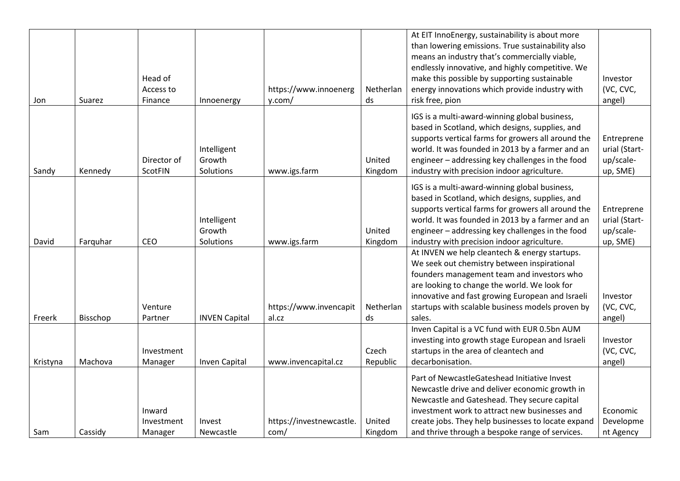| Jon      | Suarez   | Head of<br>Access to<br>Finance | Innoenergy                         | https://www.innoenerg<br>y.com/  | Netherlan<br>ds   | At EIT InnoEnergy, sustainability is about more<br>than lowering emissions. True sustainability also<br>means an industry that's commercially viable,<br>endlessly innovative, and highly competitive. We<br>make this possible by supporting sustainable<br>energy innovations which provide industry with<br>risk free, pion | Investor<br>(VC, CVC,<br>angel)                      |
|----------|----------|---------------------------------|------------------------------------|----------------------------------|-------------------|--------------------------------------------------------------------------------------------------------------------------------------------------------------------------------------------------------------------------------------------------------------------------------------------------------------------------------|------------------------------------------------------|
| Sandy    | Kennedy  | Director of<br>ScotFIN          | Intelligent<br>Growth<br>Solutions | www.igs.farm                     | United<br>Kingdom | IGS is a multi-award-winning global business,<br>based in Scotland, which designs, supplies, and<br>supports vertical farms for growers all around the<br>world. It was founded in 2013 by a farmer and an<br>engineer - addressing key challenges in the food<br>industry with precision indoor agriculture.                  | Entreprene<br>urial (Start-<br>up/scale-<br>up, SME) |
| David    | Farquhar | <b>CEO</b>                      | Intelligent<br>Growth<br>Solutions | www.igs.farm                     | United<br>Kingdom | IGS is a multi-award-winning global business,<br>based in Scotland, which designs, supplies, and<br>supports vertical farms for growers all around the<br>world. It was founded in 2013 by a farmer and an<br>engineer - addressing key challenges in the food<br>industry with precision indoor agriculture.                  | Entreprene<br>urial (Start-<br>up/scale-<br>up, SME) |
| Freerk   | Bisschop | Venture<br>Partner              | <b>INVEN Capital</b>               | https://www.invencapit<br>al.cz  | Netherlan<br>ds   | At INVEN we help cleantech & energy startups.<br>We seek out chemistry between inspirational<br>founders management team and investors who<br>are looking to change the world. We look for<br>innovative and fast growing European and Israeli<br>startups with scalable business models proven by<br>sales.                   | Investor<br>(VC, CVC,<br>angel)                      |
| Kristyna | Machova  | Investment<br>Manager           | Inven Capital                      | www.invencapital.cz              | Czech<br>Republic | Inven Capital is a VC fund with EUR 0.5bn AUM<br>investing into growth stage European and Israeli<br>startups in the area of cleantech and<br>decarbonisation.                                                                                                                                                                 | Investor<br>(VC, CVC,<br>angel)                      |
| Sam      | Cassidy  | Inward<br>Investment<br>Manager | Invest<br>Newcastle                | https://investnewcastle.<br>com/ | United<br>Kingdom | Part of NewcastleGateshead Initiative Invest<br>Newcastle drive and deliver economic growth in<br>Newcastle and Gateshead. They secure capital<br>investment work to attract new businesses and<br>create jobs. They help businesses to locate expand<br>and thrive through a bespoke range of services.                       | Economic<br>Developme<br>nt Agency                   |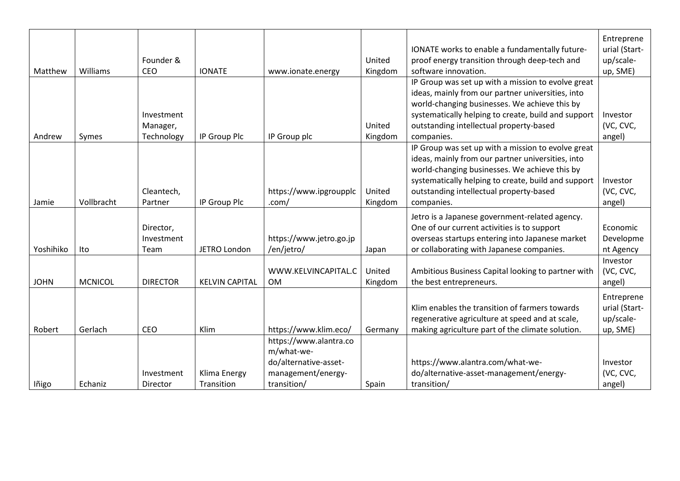| Matthew     | <b>Williams</b> | Founder &<br><b>CEO</b>              | <b>IONATE</b>              | www.ionate.energy                                                                                  | United<br>Kingdom | IONATE works to enable a fundamentally future-<br>proof energy transition through deep-tech and<br>software innovation.                                                                                                                                                  | Entreprene<br>urial (Start-<br>up/scale-<br>up, SME) |
|-------------|-----------------|--------------------------------------|----------------------------|----------------------------------------------------------------------------------------------------|-------------------|--------------------------------------------------------------------------------------------------------------------------------------------------------------------------------------------------------------------------------------------------------------------------|------------------------------------------------------|
| Andrew      | Symes           | Investment<br>Manager,<br>Technology | IP Group Plc               | IP Group plc                                                                                       | United<br>Kingdom | IP Group was set up with a mission to evolve great<br>ideas, mainly from our partner universities, into<br>world-changing businesses. We achieve this by<br>systematically helping to create, build and support<br>outstanding intellectual property-based<br>companies. | Investor<br>(VC, CVC,<br>angel)                      |
| Jamie       | Vollbracht      | Cleantech,<br>Partner                | IP Group Plc               | https://www.ipgroupplc<br>.com/                                                                    | United<br>Kingdom | IP Group was set up with a mission to evolve great<br>ideas, mainly from our partner universities, into<br>world-changing businesses. We achieve this by<br>systematically helping to create, build and support<br>outstanding intellectual property-based<br>companies. | Investor<br>(VC, CVC,<br>angel)                      |
| Yoshihiko   | Ito             | Director,<br>Investment<br>Team      | JETRO London               | https://www.jetro.go.jp<br>/en/jetro/                                                              | Japan             | Jetro is a Japanese government-related agency.<br>One of our current activities is to support<br>overseas startups entering into Japanese market<br>or collaborating with Japanese companies.                                                                            | Economic<br>Developme<br>nt Agency                   |
| <b>JOHN</b> | <b>MCNICOL</b>  | <b>DIRECTOR</b>                      | <b>KELVIN CAPITAL</b>      | WWW.KELVINCAPITAL.C<br><b>OM</b>                                                                   | United<br>Kingdom | Ambitious Business Capital looking to partner with<br>the best entrepreneurs.                                                                                                                                                                                            | Investor<br>(VC, CVC,<br>angel)                      |
| Robert      | Gerlach         | <b>CEO</b>                           | Klim                       | https://www.klim.eco/                                                                              | Germany           | Klim enables the transition of farmers towards<br>regenerative agriculture at speed and at scale,<br>making agriculture part of the climate solution.                                                                                                                    | Entreprene<br>urial (Start-<br>up/scale-<br>up, SME) |
| lñigo       | Echaniz         | Investment<br>Director               | Klima Energy<br>Transition | https://www.alantra.co<br>m/what-we-<br>do/alternative-asset-<br>management/energy-<br>transition/ | Spain             | https://www.alantra.com/what-we-<br>do/alternative-asset-management/energy-<br>transition/                                                                                                                                                                               | Investor<br>(VC, CVC,<br>angel)                      |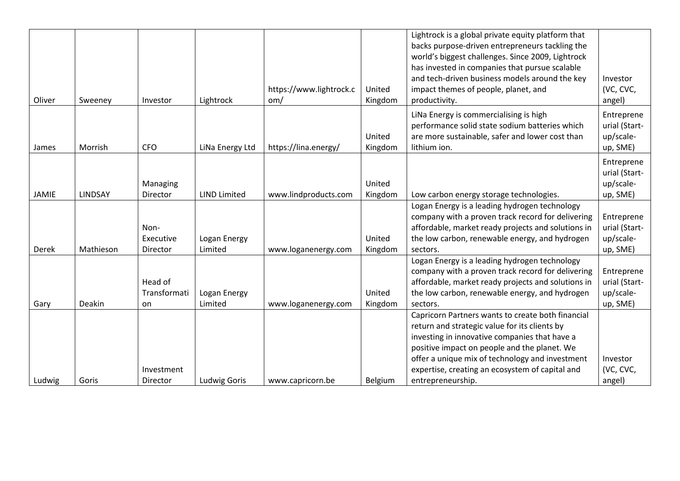|        |           |              |                     |                         |         | Lightrock is a global private equity platform that<br>backs purpose-driven entrepreneurs tackling the<br>world's biggest challenges. Since 2009, Lightrock<br>has invested in companies that pursue scalable |               |
|--------|-----------|--------------|---------------------|-------------------------|---------|--------------------------------------------------------------------------------------------------------------------------------------------------------------------------------------------------------------|---------------|
|        |           |              |                     |                         |         | and tech-driven business models around the key                                                                                                                                                               | Investor      |
|        |           |              |                     | https://www.lightrock.c | United  | impact themes of people, planet, and                                                                                                                                                                         | (VC, CVC,     |
| Oliver | Sweeney   | Investor     | Lightrock           | om/                     | Kingdom | productivity.                                                                                                                                                                                                | angel)        |
|        |           |              |                     |                         |         | LiNa Energy is commercialising is high                                                                                                                                                                       | Entreprene    |
|        |           |              |                     |                         |         | performance solid state sodium batteries which                                                                                                                                                               | urial (Start- |
|        |           |              |                     |                         | United  | are more sustainable, safer and lower cost than                                                                                                                                                              | up/scale-     |
| James  | Morrish   | <b>CFO</b>   | LiNa Energy Ltd     | https://lina.energy/    | Kingdom | lithium ion.                                                                                                                                                                                                 | up, SME)      |
|        |           |              |                     |                         |         |                                                                                                                                                                                                              | Entreprene    |
|        |           |              |                     |                         |         |                                                                                                                                                                                                              | urial (Start- |
|        |           | Managing     |                     |                         | United  |                                                                                                                                                                                                              | up/scale-     |
| JAMIE  | LINDSAY   | Director     | <b>LIND Limited</b> | www.lindproducts.com    | Kingdom | Low carbon energy storage technologies.                                                                                                                                                                      | up, SME)      |
|        |           |              |                     |                         |         | Logan Energy is a leading hydrogen technology                                                                                                                                                                |               |
|        |           |              |                     |                         |         | company with a proven track record for delivering                                                                                                                                                            | Entreprene    |
|        |           | Non-         |                     |                         |         | affordable, market ready projects and solutions in                                                                                                                                                           | urial (Start- |
|        |           | Executive    | Logan Energy        |                         | United  | the low carbon, renewable energy, and hydrogen                                                                                                                                                               | up/scale-     |
| Derek  | Mathieson | Director     | Limited             | www.loganenergy.com     | Kingdom | sectors.                                                                                                                                                                                                     | up, SME)      |
|        |           |              |                     |                         |         | Logan Energy is a leading hydrogen technology                                                                                                                                                                |               |
|        |           |              |                     |                         |         | company with a proven track record for delivering                                                                                                                                                            | Entreprene    |
|        |           | Head of      |                     |                         |         | affordable, market ready projects and solutions in                                                                                                                                                           | urial (Start- |
|        |           | Transformati | Logan Energy        |                         | United  | the low carbon, renewable energy, and hydrogen                                                                                                                                                               | up/scale-     |
| Gary   | Deakin    | on           | Limited             | www.loganenergy.com     | Kingdom | sectors.                                                                                                                                                                                                     | up, SME)      |
|        |           |              |                     |                         |         | Capricorn Partners wants to create both financial                                                                                                                                                            |               |
|        |           |              |                     |                         |         | return and strategic value for its clients by                                                                                                                                                                |               |
|        |           |              |                     |                         |         | investing in innovative companies that have a<br>positive impact on people and the planet. We                                                                                                                |               |
|        |           |              |                     |                         |         | offer a unique mix of technology and investment                                                                                                                                                              | Investor      |
|        |           | Investment   |                     |                         |         | expertise, creating an ecosystem of capital and                                                                                                                                                              | (VC, CVC,     |
| Ludwig | Goris     | Director     | <b>Ludwig Goris</b> | www.capricorn.be        | Belgium | entrepreneurship.                                                                                                                                                                                            | angel)        |
|        |           |              |                     |                         |         |                                                                                                                                                                                                              |               |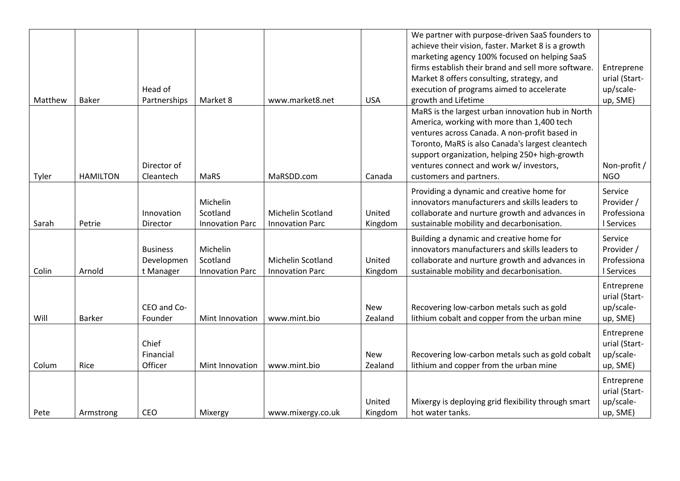| Matthew | <b>Baker</b>    | Head of<br>Partnerships                    | Market 8                                       | www.market8.net                                    | <b>USA</b>            | We partner with purpose-driven SaaS founders to<br>achieve their vision, faster. Market 8 is a growth<br>marketing agency 100% focused on helping SaaS<br>firms establish their brand and sell more software.<br>Market 8 offers consulting, strategy, and<br>execution of programs aimed to accelerate<br>growth and Lifetime | Entreprene<br>urial (Start-<br>up/scale-<br>up, SME) |
|---------|-----------------|--------------------------------------------|------------------------------------------------|----------------------------------------------------|-----------------------|--------------------------------------------------------------------------------------------------------------------------------------------------------------------------------------------------------------------------------------------------------------------------------------------------------------------------------|------------------------------------------------------|
| Tyler   | <b>HAMILTON</b> | Director of<br>Cleantech                   | MaRS                                           | MaRSDD.com                                         | Canada                | MaRS is the largest urban innovation hub in North<br>America, working with more than 1,400 tech<br>ventures across Canada. A non-profit based in<br>Toronto, MaRS is also Canada's largest cleantech<br>support organization, helping 250+ high-growth<br>ventures connect and work w/ investors,<br>customers and partners.   | Non-profit /<br><b>NGO</b>                           |
| Sarah   | Petrie          | Innovation<br>Director                     | Michelin<br>Scotland<br><b>Innovation Parc</b> | Michelin Scotland<br><b>Innovation Parc</b>        | United<br>Kingdom     | Providing a dynamic and creative home for<br>innovators manufacturers and skills leaders to<br>collaborate and nurture growth and advances in<br>sustainable mobility and decarbonisation.                                                                                                                                     | Service<br>Provider /<br>Professiona<br>I Services   |
| Colin   | Arnold          | <b>Business</b><br>Developmen<br>t Manager | Michelin<br>Scotland<br><b>Innovation Parc</b> | <b>Michelin Scotland</b><br><b>Innovation Parc</b> | United<br>Kingdom     | Building a dynamic and creative home for<br>innovators manufacturers and skills leaders to<br>collaborate and nurture growth and advances in<br>sustainable mobility and decarbonisation.                                                                                                                                      | Service<br>Provider /<br>Professiona<br>I Services   |
| Will    | <b>Barker</b>   | CEO and Co-<br>Founder                     | Mint Innovation                                | www.mint.bio                                       | <b>New</b><br>Zealand | Recovering low-carbon metals such as gold<br>lithium cobalt and copper from the urban mine                                                                                                                                                                                                                                     | Entreprene<br>urial (Start-<br>up/scale-<br>up, SME) |
| Colum   | Rice            | Chief<br>Financial<br>Officer              | Mint Innovation                                | www.mint.bio                                       | <b>New</b><br>Zealand | Recovering low-carbon metals such as gold cobalt<br>lithium and copper from the urban mine                                                                                                                                                                                                                                     | Entreprene<br>urial (Start-<br>up/scale-<br>up, SME) |
| Pete    | Armstrong       | CEO                                        | Mixergy                                        | www.mixergy.co.uk                                  | United<br>Kingdom     | Mixergy is deploying grid flexibility through smart<br>hot water tanks.                                                                                                                                                                                                                                                        | Entreprene<br>urial (Start-<br>up/scale-<br>up, SME) |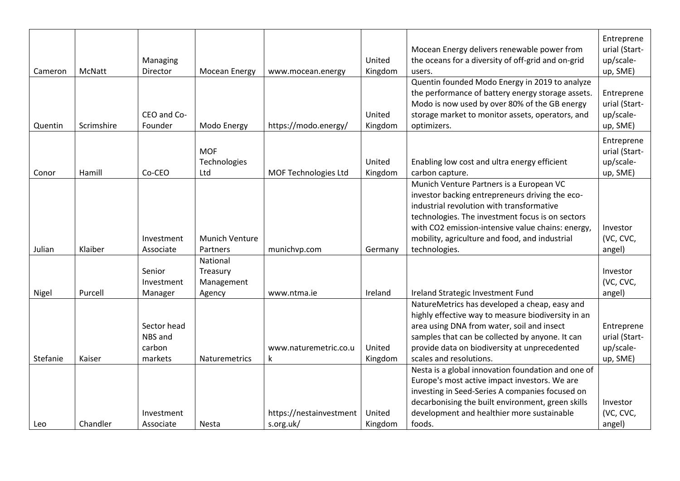| Cameron  | McNatt     | Managing<br>Director             | Mocean Energy                                | www.mocean.energy            | United<br>Kingdom | Mocean Energy delivers renewable power from<br>the oceans for a diversity of off-grid and on-grid<br>users.                                                                                                                                                                                                          | Entreprene<br>urial (Start-<br>up/scale-<br>up, SME) |
|----------|------------|----------------------------------|----------------------------------------------|------------------------------|-------------------|----------------------------------------------------------------------------------------------------------------------------------------------------------------------------------------------------------------------------------------------------------------------------------------------------------------------|------------------------------------------------------|
| Quentin  | Scrimshire | CEO and Co-<br>Founder           | Modo Energy                                  | https://modo.energy/         | United<br>Kingdom | Quentin founded Modo Energy in 2019 to analyze<br>the performance of battery energy storage assets.<br>Modo is now used by over 80% of the GB energy<br>storage market to monitor assets, operators, and<br>optimizers.                                                                                              | Entreprene<br>urial (Start-<br>up/scale-<br>up, SME) |
| Conor    | Hamill     | Co-CEO                           | <b>MOF</b><br>Technologies<br>Ltd            | MOF Technologies Ltd         | United<br>Kingdom | Enabling low cost and ultra energy efficient<br>carbon capture.                                                                                                                                                                                                                                                      | Entreprene<br>urial (Start-<br>up/scale-<br>up, SME) |
| Julian   | Klaiber    | Investment<br>Associate          | <b>Munich Venture</b><br>Partners            | munichvp.com                 | Germany           | Munich Venture Partners is a European VC<br>investor backing entrepreneurs driving the eco-<br>industrial revolution with transformative<br>technologies. The investment focus is on sectors<br>with CO2 emission-intensive value chains: energy,<br>mobility, agriculture and food, and industrial<br>technologies. | Investor<br>(VC, CVC,<br>angel)                      |
| Nigel    | Purcell    | Senior<br>Investment<br>Manager  | National<br>Treasury<br>Management<br>Agency | www.ntma.ie                  | Ireland           | Ireland Strategic Investment Fund                                                                                                                                                                                                                                                                                    | Investor<br>(VC, CVC,<br>angel)                      |
|          |            | Sector head<br>NBS and<br>carbon |                                              | www.naturemetric.co.u        | United            | NatureMetrics has developed a cheap, easy and<br>highly effective way to measure biodiversity in an<br>area using DNA from water, soil and insect<br>samples that can be collected by anyone. It can<br>provide data on biodiversity at unprecedented                                                                | Entreprene<br>urial (Start-<br>up/scale-             |
| Stefanie | Kaiser     | markets<br>Investment            | Naturemetrics                                | k<br>https://nestainvestment | Kingdom<br>United | scales and resolutions.<br>Nesta is a global innovation foundation and one of<br>Europe's most active impact investors. We are<br>investing in Seed-Series A companies focused on<br>decarbonising the built environment, green skills<br>development and healthier more sustainable                                 | up, SME)<br>Investor<br>(VC, CVC,                    |
| Leo      | Chandler   | Associate                        | Nesta                                        | s.org.uk/                    | Kingdom           | foods.                                                                                                                                                                                                                                                                                                               | angel)                                               |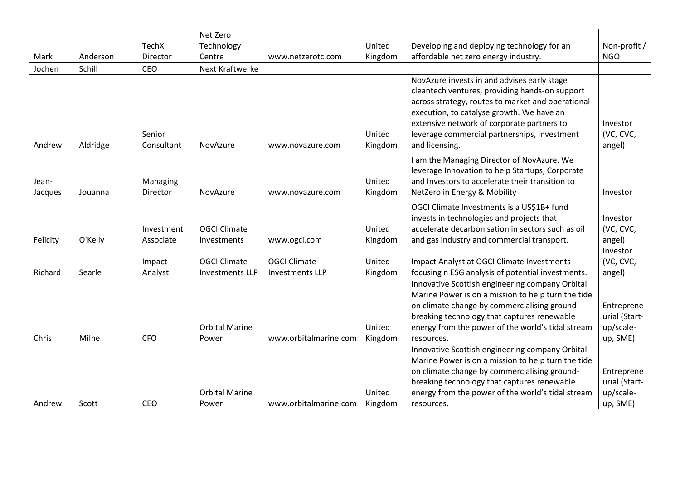|          |          |              | Net Zero               |                        |         |                                                    |               |
|----------|----------|--------------|------------------------|------------------------|---------|----------------------------------------------------|---------------|
|          |          | <b>TechX</b> | Technology             |                        | United  | Developing and deploying technology for an         | Non-profit /  |
| Mark     | Anderson | Director     | Centre                 | www.netzerotc.com      | Kingdom | affordable net zero energy industry.               | <b>NGO</b>    |
| Jochen   | Schill   | CEO          | <b>Next Kraftwerke</b> |                        |         |                                                    |               |
|          |          |              |                        |                        |         | NovAzure invests in and advises early stage        |               |
|          |          |              |                        |                        |         | cleantech ventures, providing hands-on support     |               |
|          |          |              |                        |                        |         | across strategy, routes to market and operational  |               |
|          |          |              |                        |                        |         | execution, to catalyse growth. We have an          |               |
|          |          |              |                        |                        |         | extensive network of corporate partners to         | Investor      |
|          |          | Senior       |                        |                        | United  | leverage commercial partnerships, investment       | (VC, CVC,     |
| Andrew   | Aldridge | Consultant   | NovAzure               | www.novazure.com       | Kingdom | and licensing.                                     | angel)        |
|          |          |              |                        |                        |         | I am the Managing Director of NovAzure. We         |               |
|          |          |              |                        |                        |         | leverage Innovation to help Startups, Corporate    |               |
| Jean-    |          | Managing     |                        |                        | United  | and Investors to accelerate their transition to    |               |
| Jacques  | Jouanna  | Director     | NovAzure               | www.novazure.com       | Kingdom | NetZero in Energy & Mobility                       | Investor      |
|          |          |              |                        |                        |         | OGCI Climate Investments is a US\$1B+ fund         |               |
|          |          |              |                        |                        |         | invests in technologies and projects that          | Investor      |
|          |          | Investment   | <b>OGCI Climate</b>    |                        | United  | accelerate decarbonisation in sectors such as oil  | (VC, CVC,     |
| Felicity | O'Kelly  | Associate    | Investments            | www.ogci.com           | Kingdom | and gas industry and commercial transport.         | angel)        |
|          |          |              |                        |                        |         |                                                    | Investor      |
|          |          | Impact       | <b>OGCI Climate</b>    | <b>OGCI Climate</b>    | United  | Impact Analyst at OGCI Climate Investments         | (VC, CVC,     |
| Richard  | Searle   | Analyst      | <b>Investments LLP</b> | <b>Investments LLP</b> | Kingdom | focusing n ESG analysis of potential investments.  | angel)        |
|          |          |              |                        |                        |         | Innovative Scottish engineering company Orbital    |               |
|          |          |              |                        |                        |         | Marine Power is on a mission to help turn the tide |               |
|          |          |              |                        |                        |         | on climate change by commercialising ground-       | Entreprene    |
|          |          |              |                        |                        |         | breaking technology that captures renewable        | urial (Start- |
|          |          |              | <b>Orbital Marine</b>  |                        | United  | energy from the power of the world's tidal stream  | up/scale-     |
| Chris    | Milne    | <b>CFO</b>   | Power                  | www.orbitalmarine.com  | Kingdom | resources.                                         | up, SME)      |
|          |          |              |                        |                        |         | Innovative Scottish engineering company Orbital    |               |
|          |          |              |                        |                        |         | Marine Power is on a mission to help turn the tide |               |
|          |          |              |                        |                        |         | on climate change by commercialising ground-       | Entreprene    |
|          |          |              |                        |                        |         | breaking technology that captures renewable        | urial (Start- |
|          |          |              | <b>Orbital Marine</b>  |                        | United  | energy from the power of the world's tidal stream  | up/scale-     |
| Andrew   | Scott    | <b>CEO</b>   | Power                  | www.orbitalmarine.com  | Kingdom | resources.                                         | up, SME)      |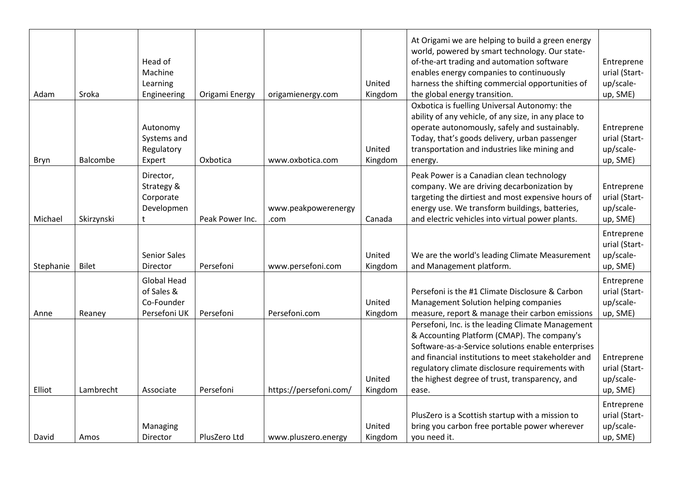| Adam      | Sroka        | Head of<br>Machine<br>Learning<br>Engineering                  | Origami Energy  | origamienergy.com           | United<br>Kingdom | At Origami we are helping to build a green energy<br>world, powered by smart technology. Our state-<br>of-the-art trading and automation software<br>enables energy companies to continuously<br>harness the shifting commercial opportunities of<br>the global energy transition.                                         | Entreprene<br>urial (Start-<br>up/scale-<br>up, SME) |
|-----------|--------------|----------------------------------------------------------------|-----------------|-----------------------------|-------------------|----------------------------------------------------------------------------------------------------------------------------------------------------------------------------------------------------------------------------------------------------------------------------------------------------------------------------|------------------------------------------------------|
| Bryn      | Balcombe     | Autonomy<br>Systems and<br>Regulatory<br>Expert                | Oxbotica        | www.oxbotica.com            | United<br>Kingdom | Oxbotica is fuelling Universal Autonomy: the<br>ability of any vehicle, of any size, in any place to<br>operate autonomously, safely and sustainably.<br>Today, that's goods delivery, urban passenger<br>transportation and industries like mining and<br>energy.                                                         | Entreprene<br>urial (Start-<br>up/scale-<br>up, SME) |
| Michael   | Skirzynski   | Director,<br>Strategy &<br>Corporate<br>Developmen<br>t.       | Peak Power Inc. | www.peakpowerenergy<br>.com | Canada            | Peak Power is a Canadian clean technology<br>company. We are driving decarbonization by<br>targeting the dirtiest and most expensive hours of<br>energy use. We transform buildings, batteries,<br>and electric vehicles into virtual power plants.                                                                        | Entreprene<br>urial (Start-<br>up/scale-<br>up, SME) |
| Stephanie | <b>Bilet</b> | <b>Senior Sales</b><br>Director                                | Persefoni       | www.persefoni.com           | United<br>Kingdom | We are the world's leading Climate Measurement<br>and Management platform.                                                                                                                                                                                                                                                 | Entreprene<br>urial (Start-<br>up/scale-<br>up, SME) |
| Anne      | Reaney       | <b>Global Head</b><br>of Sales &<br>Co-Founder<br>Persefoni UK | Persefoni       | Persefoni.com               | United<br>Kingdom | Persefoni is the #1 Climate Disclosure & Carbon<br>Management Solution helping companies<br>measure, report & manage their carbon emissions                                                                                                                                                                                | Entreprene<br>urial (Start-<br>up/scale-<br>up, SME) |
| Elliot    | Lambrecht    | Associate                                                      | Persefoni       | https://persefoni.com/      | United<br>Kingdom | Persefoni, Inc. is the leading Climate Management<br>& Accounting Platform (CMAP). The company's<br>Software-as-a-Service solutions enable enterprises<br>and financial institutions to meet stakeholder and<br>regulatory climate disclosure requirements with<br>the highest degree of trust, transparency, and<br>ease. | Entreprene<br>urial (Start-<br>up/scale-<br>up, SME) |
| David     | Amos         | Managing<br>Director                                           | PlusZero Ltd    | www.pluszero.energy         | United<br>Kingdom | PlusZero is a Scottish startup with a mission to<br>bring you carbon free portable power wherever<br>you need it.                                                                                                                                                                                                          | Entreprene<br>urial (Start-<br>up/scale-<br>up, SME) |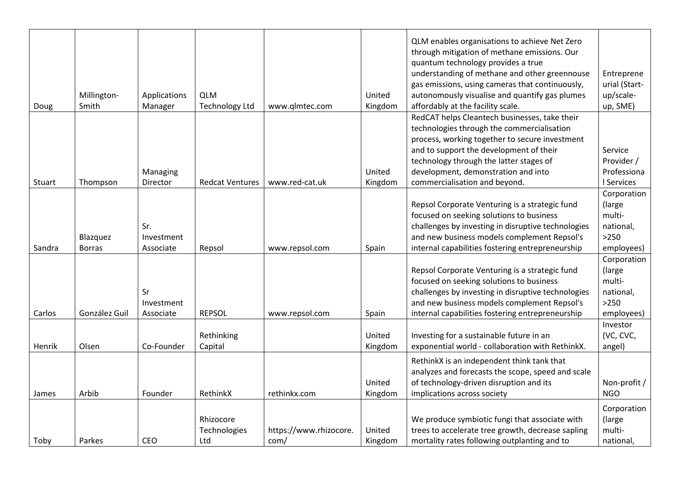|        |               |              |                        |                        |         | QLM enables organisations to achieve Net Zero<br>through mitigation of methane emissions. Our<br>quantum technology provides a true |                            |
|--------|---------------|--------------|------------------------|------------------------|---------|-------------------------------------------------------------------------------------------------------------------------------------|----------------------------|
|        |               |              |                        |                        |         | understanding of methane and other greennouse                                                                                       | Entreprene                 |
|        | Millington-   | Applications | <b>QLM</b>             |                        | United  | gas emissions, using cameras that continuously,<br>autonomously visualise and quantify gas plumes                                   | urial (Start-<br>up/scale- |
| Doug   | Smith         | Manager      | <b>Technology Ltd</b>  | www.qlmtec.com         | Kingdom | affordably at the facility scale.                                                                                                   | up, SME)                   |
|        |               |              |                        |                        |         | RedCAT helps Cleantech businesses, take their                                                                                       |                            |
|        |               |              |                        |                        |         | technologies through the commercialisation                                                                                          |                            |
|        |               |              |                        |                        |         | process, working together to secure investment                                                                                      |                            |
|        |               |              |                        |                        |         | and to support the development of their                                                                                             | Service                    |
|        |               |              |                        |                        |         | technology through the latter stages of                                                                                             | Provider /                 |
|        |               | Managing     |                        |                        | United  | development, demonstration and into                                                                                                 | Professiona                |
| Stuart | Thompson      | Director     | <b>Redcat Ventures</b> | www.red-cat.uk         | Kingdom | commercialisation and beyond.                                                                                                       | I Services                 |
|        |               |              |                        |                        |         |                                                                                                                                     | Corporation                |
|        |               |              |                        |                        |         | Repsol Corporate Venturing is a strategic fund                                                                                      | (large                     |
|        |               |              |                        |                        |         | focused on seeking solutions to business                                                                                            | multi-                     |
|        |               | Sr.          |                        |                        |         | challenges by investing in disruptive technologies                                                                                  | national,                  |
|        | Blazquez      | Investment   |                        |                        |         | and new business models complement Repsol's                                                                                         | $>250$                     |
| Sandra | <b>Borras</b> | Associate    | Repsol                 | www.repsol.com         | Spain   | internal capabilities fostering entrepreneurship                                                                                    | employees)                 |
|        |               |              |                        |                        |         |                                                                                                                                     | Corporation                |
|        |               |              |                        |                        |         | Repsol Corporate Venturing is a strategic fund                                                                                      | (large                     |
|        |               |              |                        |                        |         | focused on seeking solutions to business                                                                                            | multi-                     |
|        |               | Sr           |                        |                        |         | challenges by investing in disruptive technologies                                                                                  | national,                  |
|        |               | Investment   |                        |                        |         | and new business models complement Repsol's                                                                                         | $>250$                     |
| Carlos | González Guil | Associate    | <b>REPSOL</b>          | www.repsol.com         | Spain   | internal capabilities fostering entrepreneurship                                                                                    | employees)                 |
|        |               |              |                        |                        |         |                                                                                                                                     | Investor                   |
|        |               |              | Rethinking             |                        | United  | Investing for a sustainable future in an                                                                                            | (VC, CVC,                  |
| Henrik | Olsen         | Co-Founder   | Capital                |                        | Kingdom | exponential world - collaboration with RethinkX.                                                                                    | angel)                     |
|        |               |              |                        |                        |         | RethinkX is an independent think tank that                                                                                          |                            |
|        |               |              |                        |                        |         | analyzes and forecasts the scope, speed and scale                                                                                   |                            |
|        |               |              |                        |                        | United  | of technology-driven disruption and its                                                                                             | Non-profit /               |
| James  | Arbib         | Founder      | RethinkX               | rethinkx.com           | Kingdom | implications across society                                                                                                         | <b>NGO</b>                 |
|        |               |              |                        |                        |         |                                                                                                                                     | Corporation                |
|        |               |              | Rhizocore              |                        |         | We produce symbiotic fungi that associate with                                                                                      | (large                     |
|        |               |              | Technologies           | https://www.rhizocore. | United  | trees to accelerate tree growth, decrease sapling                                                                                   | multi-                     |
| Toby   | Parkes        | CEO          | Ltd                    | com/                   | Kingdom | mortality rates following outplanting and to                                                                                        | national,                  |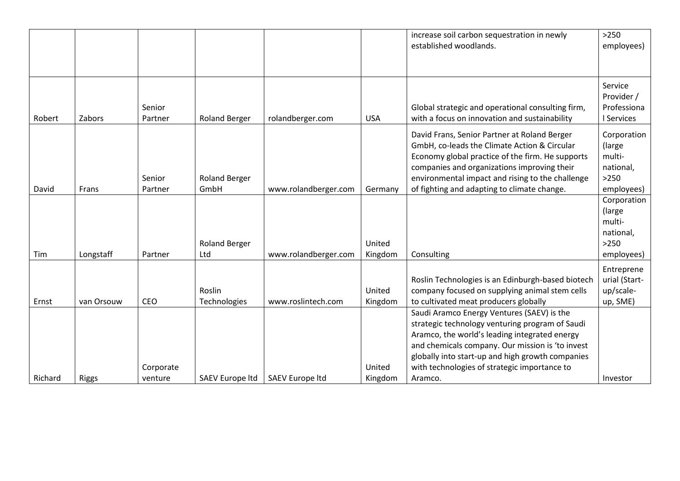|         |              |           |                        |                        |            | increase soil carbon sequestration in newly       | $>250$        |
|---------|--------------|-----------|------------------------|------------------------|------------|---------------------------------------------------|---------------|
|         |              |           |                        |                        |            | established woodlands.                            | employees)    |
|         |              |           |                        |                        |            |                                                   |               |
|         |              |           |                        |                        |            |                                                   |               |
|         |              |           |                        |                        |            |                                                   | Service       |
|         |              |           |                        |                        |            |                                                   | Provider /    |
|         |              | Senior    |                        |                        |            | Global strategic and operational consulting firm, | Professiona   |
| Robert  | Zabors       | Partner   | <b>Roland Berger</b>   | rolandberger.com       | <b>USA</b> | with a focus on innovation and sustainability     | I Services    |
|         |              |           |                        |                        |            |                                                   |               |
|         |              |           |                        |                        |            | David Frans, Senior Partner at Roland Berger      | Corporation   |
|         |              |           |                        |                        |            | GmbH, co-leads the Climate Action & Circular      | (large        |
|         |              |           |                        |                        |            | Economy global practice of the firm. He supports  | multi-        |
|         |              |           |                        |                        |            | companies and organizations improving their       | national,     |
|         |              | Senior    | <b>Roland Berger</b>   |                        |            | environmental impact and rising to the challenge  | >250          |
| David   | Frans        | Partner   | GmbH                   | www.rolandberger.com   | Germany    | of fighting and adapting to climate change.       | employees)    |
|         |              |           |                        |                        |            |                                                   | Corporation   |
|         |              |           |                        |                        |            |                                                   | (large        |
|         |              |           |                        |                        |            |                                                   | multi-        |
|         |              |           |                        |                        |            |                                                   | national,     |
|         |              |           | <b>Roland Berger</b>   |                        | United     |                                                   | >250          |
| Tim     | Longstaff    | Partner   | Ltd                    | www.rolandberger.com   | Kingdom    | Consulting                                        | employees)    |
|         |              |           |                        |                        |            |                                                   |               |
|         |              |           |                        |                        |            |                                                   | Entreprene    |
|         |              |           |                        |                        |            | Roslin Technologies is an Edinburgh-based biotech | urial (Start- |
|         |              |           | Roslin                 |                        | United     | company focused on supplying animal stem cells    | up/scale-     |
| Ernst   | van Orsouw   | CEO       | Technologies           | www.roslintech.com     | Kingdom    | to cultivated meat producers globally             | up, SME)      |
|         |              |           |                        |                        |            | Saudi Aramco Energy Ventures (SAEV) is the        |               |
|         |              |           |                        |                        |            | strategic technology venturing program of Saudi   |               |
|         |              |           |                        |                        |            | Aramco, the world's leading integrated energy     |               |
|         |              |           |                        |                        |            | and chemicals company. Our mission is 'to invest  |               |
|         |              |           |                        |                        |            | globally into start-up and high growth companies  |               |
|         |              | Corporate |                        |                        | United     | with technologies of strategic importance to      |               |
| Richard | <b>Riggs</b> | venture   | <b>SAEV Europe Itd</b> | <b>SAEV Europe Itd</b> | Kingdom    | Aramco.                                           | Investor      |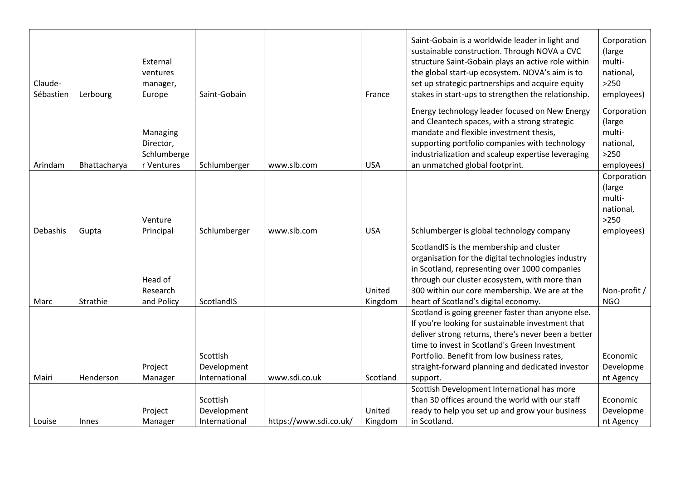| Claude-<br>Sébastien | Lerbourg     | External<br>ventures<br>manager,<br>Europe         | Saint-Gobain                             |                        | France            | Saint-Gobain is a worldwide leader in light and<br>sustainable construction. Through NOVA a CVC<br>structure Saint-Gobain plays an active role within<br>the global start-up ecosystem. NOVA's aim is to<br>set up strategic partnerships and acquire equity<br>stakes in start-ups to strengthen the relationship.            | Corporation<br>(large<br>multi-<br>national,<br>$>250$<br>employees) |
|----------------------|--------------|----------------------------------------------------|------------------------------------------|------------------------|-------------------|--------------------------------------------------------------------------------------------------------------------------------------------------------------------------------------------------------------------------------------------------------------------------------------------------------------------------------|----------------------------------------------------------------------|
| Arindam              | Bhattacharya | Managing<br>Director,<br>Schlumberge<br>r Ventures | Schlumberger                             | www.slb.com            | <b>USA</b>        | Energy technology leader focused on New Energy<br>and Cleantech spaces, with a strong strategic<br>mandate and flexible investment thesis,<br>supporting portfolio companies with technology<br>industrialization and scaleup expertise leveraging<br>an unmatched global footprint.                                           | Corporation<br>(large<br>multi-<br>national,<br>$>250$<br>employees) |
| Debashis             | Gupta        | Venture<br>Principal                               | Schlumberger                             | www.slb.com            | <b>USA</b>        | Schlumberger is global technology company                                                                                                                                                                                                                                                                                      | Corporation<br>(large<br>multi-<br>national,<br>$>250$<br>employees) |
| Marc                 | Strathie     | Head of<br>Research<br>and Policy                  | ScotlandIS                               |                        | United<br>Kingdom | ScotlandIS is the membership and cluster<br>organisation for the digital technologies industry<br>in Scotland, representing over 1000 companies<br>through our cluster ecosystem, with more than<br>300 within our core membership. We are at the<br>heart of Scotland's digital economy.                                      | Non-profit /<br><b>NGO</b>                                           |
| Mairi                | Henderson    | Project<br>Manager                                 | Scottish<br>Development<br>International | www.sdi.co.uk          | Scotland          | Scotland is going greener faster than anyone else.<br>If you're looking for sustainable investment that<br>deliver strong returns, there's never been a better<br>time to invest in Scotland's Green Investment<br>Portfolio. Benefit from low business rates,<br>straight-forward planning and dedicated investor<br>support. | Economic<br>Developme<br>nt Agency                                   |
| Louise               | Innes        | Project<br>Manager                                 | Scottish<br>Development<br>International | https://www.sdi.co.uk/ | United<br>Kingdom | Scottish Development International has more<br>than 30 offices around the world with our staff<br>ready to help you set up and grow your business<br>in Scotland.                                                                                                                                                              | Economic<br>Developme<br>nt Agency                                   |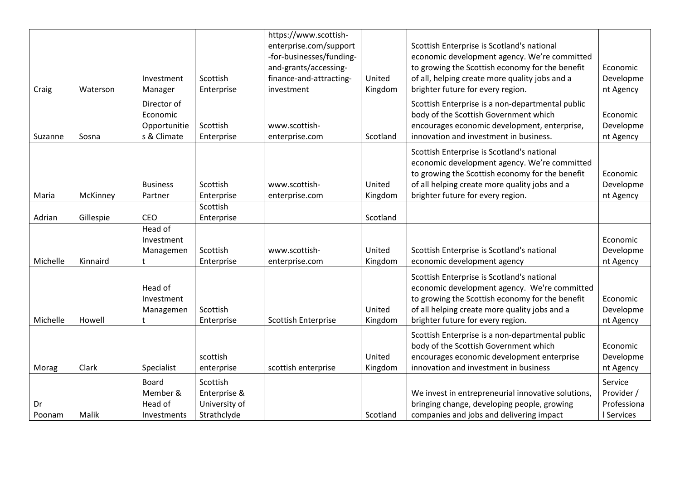|          |           |                    |               | https://www.scottish-      |          |                                                    |             |
|----------|-----------|--------------------|---------------|----------------------------|----------|----------------------------------------------------|-------------|
|          |           |                    |               | enterprise.com/support     |          | Scottish Enterprise is Scotland's national         |             |
|          |           |                    |               | -for-businesses/funding-   |          | economic development agency. We're committed       |             |
|          |           |                    |               | and-grants/accessing-      |          | to growing the Scottish economy for the benefit    | Economic    |
|          |           | Investment         | Scottish      | finance-and-attracting-    | United   | of all, helping create more quality jobs and a     | Developme   |
| Craig    | Waterson  | Manager            | Enterprise    | investment                 | Kingdom  | brighter future for every region.                  | nt Agency   |
|          |           | Director of        |               |                            |          | Scottish Enterprise is a non-departmental public   |             |
|          |           | Economic           |               |                            |          | body of the Scottish Government which              | Economic    |
|          |           | Opportunitie       | Scottish      | www.scottish-              |          | encourages economic development, enterprise,       | Developme   |
| Suzanne  | Sosna     | s & Climate        | Enterprise    | enterprise.com             | Scotland | innovation and investment in business.             | nt Agency   |
|          |           |                    |               |                            |          |                                                    |             |
|          |           |                    |               |                            |          | Scottish Enterprise is Scotland's national         |             |
|          |           |                    |               |                            |          | economic development agency. We're committed       |             |
|          |           |                    |               |                            |          | to growing the Scottish economy for the benefit    | Economic    |
|          |           | <b>Business</b>    | Scottish      | www.scottish-              | United   | of all helping create more quality jobs and a      | Developme   |
| Maria    | McKinney  | Partner            | Enterprise    | enterprise.com             | Kingdom  | brighter future for every region.                  | nt Agency   |
|          |           |                    | Scottish      |                            |          |                                                    |             |
| Adrian   | Gillespie | <b>CEO</b>         | Enterprise    |                            | Scotland |                                                    |             |
|          |           | Head of            |               |                            |          |                                                    |             |
|          |           | Investment         |               |                            |          |                                                    | Economic    |
|          |           | Managemen          | Scottish      | www.scottish-              | United   | Scottish Enterprise is Scotland's national         | Developme   |
| Michelle | Kinnaird  |                    | Enterprise    | enterprise.com             | Kingdom  | economic development agency                        | nt Agency   |
|          |           |                    |               |                            |          | Scottish Enterprise is Scotland's national         |             |
|          |           | Head of            |               |                            |          | economic development agency. We're committed       |             |
|          |           | Investment         |               |                            |          | to growing the Scottish economy for the benefit    | Economic    |
|          |           | Managemen          | Scottish      |                            | United   | of all helping create more quality jobs and a      | Developme   |
| Michelle | Howell    |                    | Enterprise    | <b>Scottish Enterprise</b> | Kingdom  | brighter future for every region.                  | nt Agency   |
|          |           |                    |               |                            |          |                                                    |             |
|          |           |                    |               |                            |          | Scottish Enterprise is a non-departmental public   |             |
|          |           |                    |               |                            |          | body of the Scottish Government which              | Economic    |
|          |           |                    | scottish      |                            | United   | encourages economic development enterprise         | Developme   |
| Morag    | Clark     | Specialist         | enterprise    | scottish enterprise        | Kingdom  | innovation and investment in business              | nt Agency   |
|          |           | <b>Board</b>       | Scottish      |                            |          |                                                    | Service     |
|          |           | Member &           | Enterprise &  |                            |          | We invest in entrepreneurial innovative solutions, | Provider /  |
| Dr       |           | Head of            | University of |                            |          | bringing change, developing people, growing        | Professiona |
| Poonam   | Malik     | <b>Investments</b> | Strathclyde   |                            | Scotland | companies and jobs and delivering impact           | I Services  |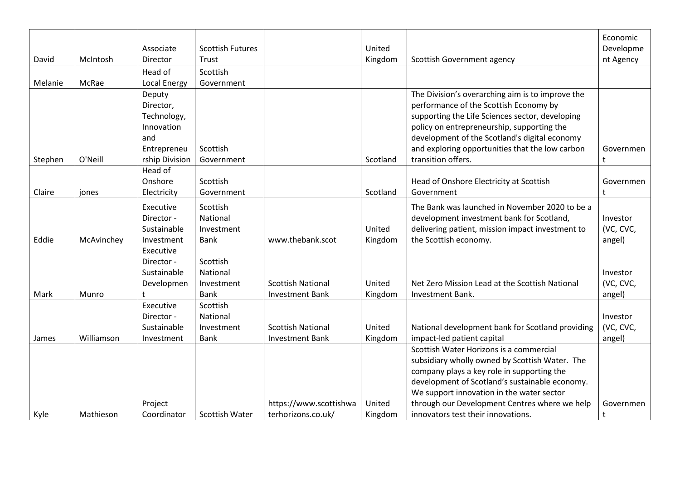| David   | McIntosh   | Associate<br>Director                                                                    | <b>Scottish Futures</b><br>Trust                  |                                                    | United<br>Kingdom | Scottish Government agency                                                                                                                                                                                                                                                                                            | Economic<br>Developme<br>nt Agency |
|---------|------------|------------------------------------------------------------------------------------------|---------------------------------------------------|----------------------------------------------------|-------------------|-----------------------------------------------------------------------------------------------------------------------------------------------------------------------------------------------------------------------------------------------------------------------------------------------------------------------|------------------------------------|
|         |            | Head of                                                                                  | Scottish                                          |                                                    |                   |                                                                                                                                                                                                                                                                                                                       |                                    |
| Melanie | McRae      | <b>Local Energy</b>                                                                      | Government                                        |                                                    |                   |                                                                                                                                                                                                                                                                                                                       |                                    |
| Stephen | O'Neill    | Deputy<br>Director,<br>Technology,<br>Innovation<br>and<br>Entrepreneu<br>rship Division | Scottish<br>Government                            |                                                    | Scotland          | The Division's overarching aim is to improve the<br>performance of the Scottish Economy by<br>supporting the Life Sciences sector, developing<br>policy on entrepreneurship, supporting the<br>development of the Scotland's digital economy<br>and exploring opportunities that the low carbon<br>transition offers. | Governmen                          |
|         |            | Head of                                                                                  |                                                   |                                                    |                   |                                                                                                                                                                                                                                                                                                                       |                                    |
| Claire  | jones      | Onshore<br>Electricity                                                                   | Scottish<br>Government                            |                                                    | Scotland          | Head of Onshore Electricity at Scottish<br>Government                                                                                                                                                                                                                                                                 | Governmen                          |
| Eddie   | McAvinchey | Executive<br>Director -<br>Sustainable<br>Investment                                     | Scottish<br>National<br>Investment<br>Bank        | www.thebank.scot                                   | United<br>Kingdom | The Bank was launched in November 2020 to be a<br>development investment bank for Scotland,<br>delivering patient, mission impact investment to<br>the Scottish economy.                                                                                                                                              | Investor<br>(VC, CVC,<br>angel)    |
| Mark    | Munro      | Executive<br>Director -<br>Sustainable<br>Developmen                                     | Scottish<br>National<br>Investment<br><b>Bank</b> | <b>Scottish National</b><br><b>Investment Bank</b> | United<br>Kingdom | Net Zero Mission Lead at the Scottish National<br>Investment Bank.                                                                                                                                                                                                                                                    | Investor<br>(VC, CVC,<br>angel)    |
| James   | Williamson | Executive<br>Director -<br>Sustainable<br>Investment                                     | Scottish<br>National<br>Investment<br><b>Bank</b> | <b>Scottish National</b><br><b>Investment Bank</b> | United<br>Kingdom | National development bank for Scotland providing<br>impact-led patient capital                                                                                                                                                                                                                                        | Investor<br>(VC, CVC,<br>angel)    |
|         |            | Project                                                                                  |                                                   | https://www.scottishwa                             | United            | Scottish Water Horizons is a commercial<br>subsidiary wholly owned by Scottish Water. The<br>company plays a key role in supporting the<br>development of Scotland's sustainable economy.<br>We support innovation in the water sector<br>through our Development Centres where we help                               | Governmen                          |
| Kyle    | Mathieson  | Coordinator                                                                              | <b>Scottish Water</b>                             | terhorizons.co.uk/                                 | Kingdom           | innovators test their innovations.                                                                                                                                                                                                                                                                                    |                                    |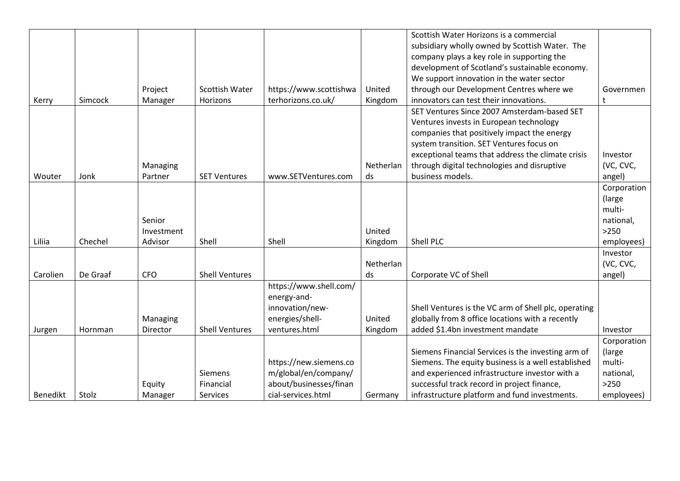|          |          |            |                       |                        |           | Scottish Water Horizons is a commercial              |             |
|----------|----------|------------|-----------------------|------------------------|-----------|------------------------------------------------------|-------------|
|          |          |            |                       |                        |           | subsidiary wholly owned by Scottish Water. The       |             |
|          |          |            |                       |                        |           | company plays a key role in supporting the           |             |
|          |          |            |                       |                        |           | development of Scotland's sustainable economy.       |             |
|          |          |            |                       |                        |           | We support innovation in the water sector            |             |
|          |          | Project    | <b>Scottish Water</b> | https://www.scottishwa | United    | through our Development Centres where we             | Governmen   |
| Kerry    | Simcock  | Manager    | Horizons              | terhorizons.co.uk/     | Kingdom   | innovators can test their innovations.               | t           |
|          |          |            |                       |                        |           | SET Ventures Since 2007 Amsterdam-based SET          |             |
|          |          |            |                       |                        |           | Ventures invests in European technology              |             |
|          |          |            |                       |                        |           | companies that positively impact the energy          |             |
|          |          |            |                       |                        |           | system transition. SET Ventures focus on             |             |
|          |          |            |                       |                        |           | exceptional teams that address the climate crisis    | Investor    |
|          |          | Managing   |                       |                        | Netherlan | through digital technologies and disruptive          | (VC, CVC,   |
| Wouter   | Jonk     | Partner    | <b>SET Ventures</b>   | www.SETVentures.com    | ds        | business models.                                     | angel)      |
|          |          |            |                       |                        |           |                                                      | Corporation |
|          |          |            |                       |                        |           |                                                      | (large)     |
|          |          |            |                       |                        |           |                                                      | multi-      |
|          |          | Senior     |                       |                        |           |                                                      | national,   |
|          |          | Investment |                       |                        | United    |                                                      | >250        |
| Liliia   | Chechel  | Advisor    | Shell                 | Shell                  | Kingdom   | Shell PLC                                            | employees)  |
|          |          |            |                       |                        |           |                                                      | Investor    |
|          |          |            |                       |                        | Netherlan |                                                      | (VC, CVC,   |
| Carolien | De Graaf | <b>CFO</b> | <b>Shell Ventures</b> |                        | ds        | Corporate VC of Shell                                | angel)      |
|          |          |            |                       | https://www.shell.com/ |           |                                                      |             |
|          |          |            |                       | energy-and-            |           |                                                      |             |
|          |          |            |                       | innovation/new-        |           | Shell Ventures is the VC arm of Shell plc, operating |             |
|          |          | Managing   |                       | energies/shell-        | United    | globally from 8 office locations with a recently     |             |
| Jurgen   | Hornman  | Director   | <b>Shell Ventures</b> | ventures.html          | Kingdom   | added \$1.4bn investment mandate                     | Investor    |
|          |          |            |                       |                        |           |                                                      | Corporation |
|          |          |            |                       |                        |           | Siemens Financial Services is the investing arm of   | (large)     |
|          |          |            |                       | https://new.siemens.co |           | Siemens. The equity business is a well established   | multi-      |
|          |          |            | <b>Siemens</b>        | m/global/en/company/   |           | and experienced infrastructure investor with a       | national,   |
|          |          | Equity     | Financial             | about/businesses/finan |           | successful track record in project finance,          | $>250$      |
| Benedikt | Stolz    | Manager    | Services              | cial-services.html     | Germany   | infrastructure platform and fund investments.        | employees)  |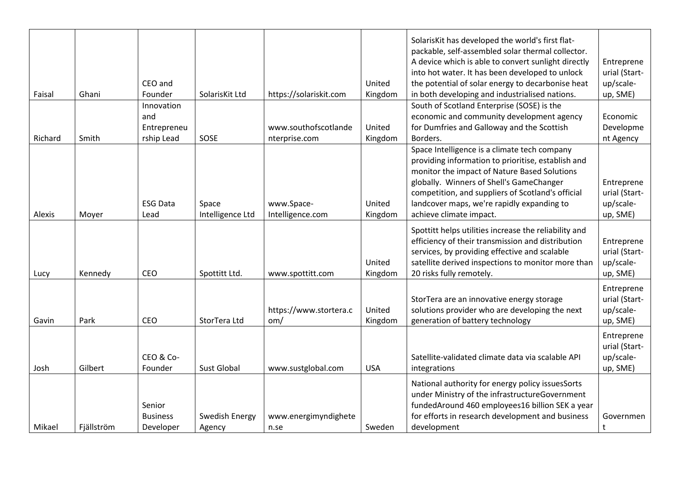| Faisal  | Ghani      | CEO and<br>Founder                             | SolarisKit Ltd            | https://solariskit.com                | United<br>Kingdom | SolarisKit has developed the world's first flat-<br>packable, self-assembled solar thermal collector.<br>A device which is able to convert sunlight directly<br>into hot water. It has been developed to unlock<br>the potential of solar energy to decarbonise heat<br>in both developing and industrialised nations.       | Entreprene<br>urial (Start-<br>up/scale-<br>up, SME) |
|---------|------------|------------------------------------------------|---------------------------|---------------------------------------|-------------------|------------------------------------------------------------------------------------------------------------------------------------------------------------------------------------------------------------------------------------------------------------------------------------------------------------------------------|------------------------------------------------------|
| Richard | Smith      | Innovation<br>and<br>Entrepreneu<br>rship Lead | SOSE                      | www.southofscotlande<br>nterprise.com | United<br>Kingdom | South of Scotland Enterprise (SOSE) is the<br>economic and community development agency<br>for Dumfries and Galloway and the Scottish<br>Borders.                                                                                                                                                                            | Economic<br>Developme<br>nt Agency                   |
| Alexis  | Moyer      | <b>ESG Data</b><br>Lead                        | Space<br>Intelligence Ltd | www.Space-<br>Intelligence.com        | United<br>Kingdom | Space Intelligence is a climate tech company<br>providing information to prioritise, establish and<br>monitor the impact of Nature Based Solutions<br>globally. Winners of Shell's GameChanger<br>competition, and suppliers of Scotland's official<br>landcover maps, we're rapidly expanding to<br>achieve climate impact. | Entreprene<br>urial (Start-<br>up/scale-<br>up, SME) |
| Lucy    | Kennedy    | CEO                                            | Spottitt Ltd.             | www.spottitt.com                      | United<br>Kingdom | Spottitt helps utilities increase the reliability and<br>efficiency of their transmission and distribution<br>services, by providing effective and scalable<br>satellite derived inspections to monitor more than<br>20 risks fully remotely.                                                                                | Entreprene<br>urial (Start-<br>up/scale-<br>up, SME) |
| Gavin   | Park       | CEO                                            | StorTera Ltd              | https://www.stortera.c<br>om/         | United<br>Kingdom | StorTera are an innovative energy storage<br>solutions provider who are developing the next<br>generation of battery technology                                                                                                                                                                                              | Entreprene<br>urial (Start-<br>up/scale-<br>up, SME) |
| Josh    | Gilbert    | CEO & Co-<br>Founder                           | <b>Sust Global</b>        | www.sustglobal.com                    | <b>USA</b>        | Satellite-validated climate data via scalable API<br>integrations                                                                                                                                                                                                                                                            | Entreprene<br>urial (Start-<br>up/scale-<br>up, SME) |
| Mikael  | Fjällström | Senior<br><b>Business</b><br>Developer         | Swedish Energy<br>Agency  | www.energimyndighete<br>n.se          | Sweden            | National authority for energy policy issuesSorts<br>under Ministry of the infrastructureGovernment<br>fundedAround 460 employees16 billion SEK a year<br>for efforts in research development and business<br>development                                                                                                     | Governmen<br>t                                       |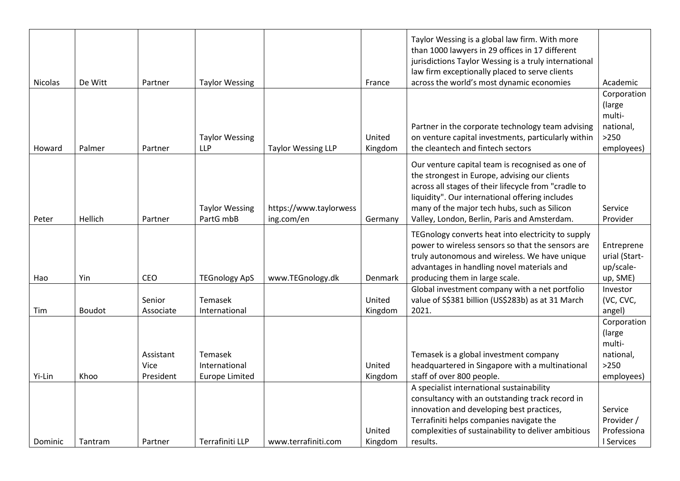| <b>Nicolas</b> | De Witt | Partner                        | <b>Taylor Wessing</b>                             |                                      | France            | Taylor Wessing is a global law firm. With more<br>than 1000 lawyers in 29 offices in 17 different<br>jurisdictions Taylor Wessing is a truly international<br>law firm exceptionally placed to serve clients<br>across the world's most dynamic economies                                                    | Academic                                                             |
|----------------|---------|--------------------------------|---------------------------------------------------|--------------------------------------|-------------------|--------------------------------------------------------------------------------------------------------------------------------------------------------------------------------------------------------------------------------------------------------------------------------------------------------------|----------------------------------------------------------------------|
| Howard         | Palmer  | Partner                        | <b>Taylor Wessing</b><br><b>LLP</b>               | <b>Taylor Wessing LLP</b>            | United<br>Kingdom | Partner in the corporate technology team advising<br>on venture capital investments, particularly within<br>the cleantech and fintech sectors                                                                                                                                                                | Corporation<br>(large<br>multi-<br>national,<br>$>250$<br>employees) |
| Peter          | Hellich | Partner                        | <b>Taylor Wessing</b><br>PartG mbB                | https://www.taylorwess<br>ing.com/en | Germany           | Our venture capital team is recognised as one of<br>the strongest in Europe, advising our clients<br>across all stages of their lifecycle from "cradle to<br>liquidity". Our international offering includes<br>many of the major tech hubs, such as Silicon<br>Valley, London, Berlin, Paris and Amsterdam. | Service<br>Provider                                                  |
| Hao            | Yin     | CEO                            | <b>TEGnology ApS</b>                              | www.TEGnology.dk                     | Denmark           | TEGnology converts heat into electricity to supply<br>power to wireless sensors so that the sensors are<br>truly autonomous and wireless. We have unique<br>advantages in handling novel materials and<br>producing them in large scale.                                                                     | Entreprene<br>urial (Start-<br>up/scale-<br>up, SME)                 |
| Tim            | Boudot  | Senior<br>Associate            | Temasek<br>International                          |                                      | United<br>Kingdom | Global investment company with a net portfolio<br>value of S\$381 billion (US\$283b) as at 31 March<br>2021.                                                                                                                                                                                                 | Investor<br>(VC, CVC,<br>angel)                                      |
| Yi-Lin         | Khoo    | Assistant<br>Vice<br>President | Temasek<br>International<br><b>Europe Limited</b> |                                      | United<br>Kingdom | Temasek is a global investment company<br>headquartered in Singapore with a multinational<br>staff of over 800 people.                                                                                                                                                                                       | Corporation<br>(large<br>multi-<br>national,<br>$>250$<br>employees) |
| Dominic        | Tantram | Partner                        | Terrafiniti LLP                                   | www.terrafiniti.com                  | United<br>Kingdom | A specialist international sustainability<br>consultancy with an outstanding track record in<br>innovation and developing best practices,<br>Terrafiniti helps companies navigate the<br>complexities of sustainability to deliver ambitious<br>results.                                                     | Service<br>Provider /<br>Professiona<br>I Services                   |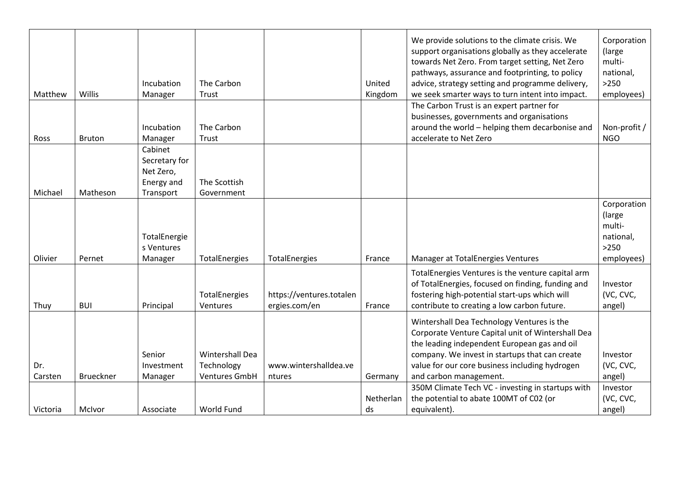| Matthew        | Willis           | Incubation<br>Manager<br>Incubation                   | The Carbon<br>Trust<br>The Carbon  |                                           | United<br>Kingdom | We provide solutions to the climate crisis. We<br>support organisations globally as they accelerate<br>towards Net Zero. From target setting, Net Zero<br>pathways, assurance and footprinting, to policy<br>advice, strategy setting and programme delivery,<br>we seek smarter ways to turn intent into impact.<br>The Carbon Trust is an expert partner for<br>businesses, governments and organisations<br>around the world - helping them decarbonise and | Corporation<br>(large<br>multi-<br>national,<br>$>250$<br>employees)<br>Non-profit / |
|----------------|------------------|-------------------------------------------------------|------------------------------------|-------------------------------------------|-------------------|----------------------------------------------------------------------------------------------------------------------------------------------------------------------------------------------------------------------------------------------------------------------------------------------------------------------------------------------------------------------------------------------------------------------------------------------------------------|--------------------------------------------------------------------------------------|
| Ross           | <b>Bruton</b>    | Manager<br>Cabinet                                    | Trust                              |                                           |                   | accelerate to Net Zero                                                                                                                                                                                                                                                                                                                                                                                                                                         | <b>NGO</b>                                                                           |
| Michael        | Matheson         | Secretary for<br>Net Zero,<br>Energy and<br>Transport | The Scottish<br>Government         |                                           |                   |                                                                                                                                                                                                                                                                                                                                                                                                                                                                |                                                                                      |
| Olivier        | Pernet           | TotalEnergie<br>s Ventures<br>Manager                 | TotalEnergies                      | <b>TotalEnergies</b>                      | France            | Manager at TotalEnergies Ventures                                                                                                                                                                                                                                                                                                                                                                                                                              | Corporation<br>(large)<br>multi-<br>national,<br>$>250$<br>employees)                |
|                |                  |                                                       |                                    |                                           |                   | TotalEnergies Ventures is the venture capital arm                                                                                                                                                                                                                                                                                                                                                                                                              |                                                                                      |
| Thuy           | <b>BUI</b>       | Principal                                             | TotalEnergies<br>Ventures          | https://ventures.totalen<br>ergies.com/en | France            | of TotalEnergies, focused on finding, funding and<br>fostering high-potential start-ups which will<br>contribute to creating a low carbon future.                                                                                                                                                                                                                                                                                                              | Investor<br>(VC, CVC,<br>angel)                                                      |
|                |                  | Senior                                                | Wintershall Dea                    |                                           |                   | Wintershall Dea Technology Ventures is the<br>Corporate Venture Capital unit of Wintershall Dea<br>the leading independent European gas and oil<br>company. We invest in startups that can create                                                                                                                                                                                                                                                              | Investor                                                                             |
| Dr.<br>Carsten | <b>Brueckner</b> | Investment<br>Manager                                 | Technology<br><b>Ventures GmbH</b> | www.wintershalldea.ve<br>ntures           | Germany           | value for our core business including hydrogen<br>and carbon management.                                                                                                                                                                                                                                                                                                                                                                                       | (VC, CVC,<br>angel)                                                                  |
|                |                  |                                                       |                                    |                                           |                   | 350M Climate Tech VC - investing in startups with                                                                                                                                                                                                                                                                                                                                                                                                              | Investor                                                                             |
|                |                  |                                                       |                                    |                                           | Netherlan         | the potential to abate 100MT of C02 (or                                                                                                                                                                                                                                                                                                                                                                                                                        | (VC, CVC,                                                                            |
| Victoria       | McIvor           | Associate                                             | World Fund                         |                                           | ds                | equivalent).                                                                                                                                                                                                                                                                                                                                                                                                                                                   | angel)                                                                               |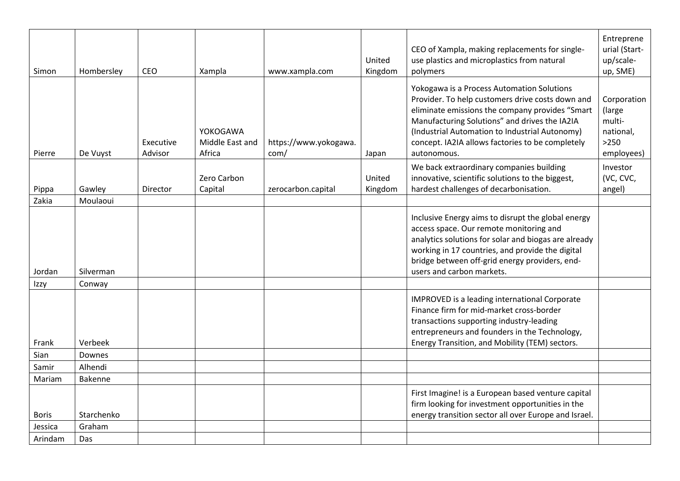| Simon   | Hombersley     | CEO                  | Xampla                                | www.xampla.com                | United<br>Kingdom | CEO of Xampla, making replacements for single-<br>use plastics and microplastics from natural<br>polymers                                                                                                                                                                                                               | Entreprene<br>urial (Start-<br>up/scale-<br>up, SME)                 |
|---------|----------------|----------------------|---------------------------------------|-------------------------------|-------------------|-------------------------------------------------------------------------------------------------------------------------------------------------------------------------------------------------------------------------------------------------------------------------------------------------------------------------|----------------------------------------------------------------------|
| Pierre  | De Vuyst       | Executive<br>Advisor | YOKOGAWA<br>Middle East and<br>Africa | https://www.yokogawa.<br>com/ | Japan             | Yokogawa is a Process Automation Solutions<br>Provider. To help customers drive costs down and<br>eliminate emissions the company provides "Smart<br>Manufacturing Solutions" and drives the IA2IA<br>(Industrial Automation to Industrial Autonomy)<br>concept. IA2IA allows factories to be completely<br>autonomous. | Corporation<br>(large<br>multi-<br>national,<br>$>250$<br>employees) |
| Pippa   | Gawley         | Director             | Zero Carbon<br>Capital                | zerocarbon.capital            | United<br>Kingdom | We back extraordinary companies building<br>innovative, scientific solutions to the biggest,<br>hardest challenges of decarbonisation.                                                                                                                                                                                  | Investor<br>(VC, CVC,<br>angel)                                      |
| Zakia   | Moulaoui       |                      |                                       |                               |                   |                                                                                                                                                                                                                                                                                                                         |                                                                      |
| Jordan  | Silverman      |                      |                                       |                               |                   | Inclusive Energy aims to disrupt the global energy<br>access space. Our remote monitoring and<br>analytics solutions for solar and biogas are already<br>working in 17 countries, and provide the digital<br>bridge between off-grid energy providers, end-<br>users and carbon markets.                                |                                                                      |
| Izzy    | Conway         |                      |                                       |                               |                   |                                                                                                                                                                                                                                                                                                                         |                                                                      |
| Frank   | Verbeek        |                      |                                       |                               |                   | IMPROVED is a leading international Corporate<br>Finance firm for mid-market cross-border<br>transactions supporting industry-leading<br>entrepreneurs and founders in the Technology,<br>Energy Transition, and Mobility (TEM) sectors.                                                                                |                                                                      |
| Sian    | Downes         |                      |                                       |                               |                   |                                                                                                                                                                                                                                                                                                                         |                                                                      |
| Samir   | Alhendi        |                      |                                       |                               |                   |                                                                                                                                                                                                                                                                                                                         |                                                                      |
| Mariam  | <b>Bakenne</b> |                      |                                       |                               |                   |                                                                                                                                                                                                                                                                                                                         |                                                                      |
| Boris   | Starchenko     |                      |                                       |                               |                   | First Imagine! is a European based venture capital<br>firm looking for investment opportunities in the<br>energy transition sector all over Europe and Israel.                                                                                                                                                          |                                                                      |
| Jessica | Graham         |                      |                                       |                               |                   |                                                                                                                                                                                                                                                                                                                         |                                                                      |
| Arindam | Das            |                      |                                       |                               |                   |                                                                                                                                                                                                                                                                                                                         |                                                                      |